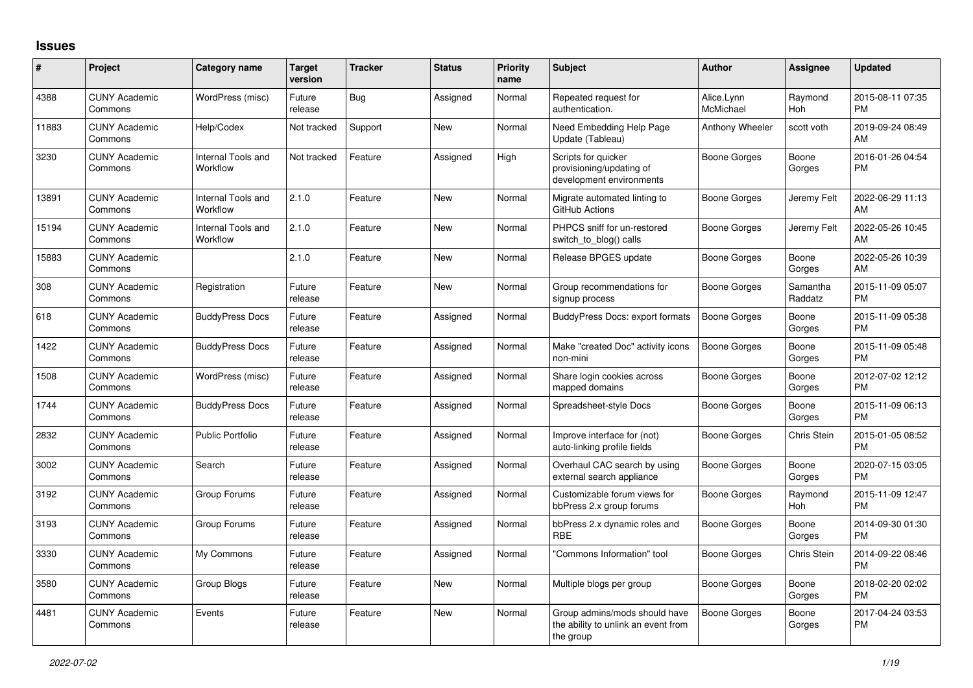## **Issues**

| #     | Project                         | <b>Category name</b>           | Target<br>version | <b>Tracker</b> | <b>Status</b> | <b>Priority</b><br>name | <b>Subject</b>                                                                    | <b>Author</b>           | <b>Assignee</b>     | <b>Updated</b>                |
|-------|---------------------------------|--------------------------------|-------------------|----------------|---------------|-------------------------|-----------------------------------------------------------------------------------|-------------------------|---------------------|-------------------------------|
| 4388  | <b>CUNY Academic</b><br>Commons | WordPress (misc)               | Future<br>release | Bug            | Assigned      | Normal                  | Repeated request for<br>authentication.                                           | Alice.Lynn<br>McMichael | Raymond<br>Hoh      | 2015-08-11 07:35<br><b>PM</b> |
| 11883 | <b>CUNY Academic</b><br>Commons | Help/Codex                     | Not tracked       | Support        | <b>New</b>    | Normal                  | Need Embedding Help Page<br>Update (Tableau)                                      | Anthony Wheeler         | scott voth          | 2019-09-24 08:49<br>AM        |
| 3230  | <b>CUNY Academic</b><br>Commons | Internal Tools and<br>Workflow | Not tracked       | Feature        | Assigned      | High                    | Scripts for quicker<br>provisioning/updating of<br>development environments       | Boone Gorges            | Boone<br>Gorges     | 2016-01-26 04:54<br><b>PM</b> |
| 13891 | <b>CUNY Academic</b><br>Commons | Internal Tools and<br>Workflow | 2.1.0             | Feature        | New           | Normal                  | Migrate automated linting to<br>GitHub Actions                                    | Boone Gorges            | Jeremy Felt         | 2022-06-29 11:13<br>AM        |
| 15194 | <b>CUNY Academic</b><br>Commons | Internal Tools and<br>Workflow | 2.1.0             | Feature        | New           | Normal                  | PHPCS sniff for un-restored<br>switch_to_blog() calls                             | Boone Gorges            | Jeremy Felt         | 2022-05-26 10:45<br>AM        |
| 15883 | <b>CUNY Academic</b><br>Commons |                                | 2.1.0             | Feature        | <b>New</b>    | Normal                  | Release BPGES update                                                              | <b>Boone Gorges</b>     | Boone<br>Gorges     | 2022-05-26 10:39<br>AM        |
| 308   | <b>CUNY Academic</b><br>Commons | Registration                   | Future<br>release | Feature        | New           | Normal                  | Group recommendations for<br>signup process                                       | Boone Gorges            | Samantha<br>Raddatz | 2015-11-09 05:07<br><b>PM</b> |
| 618   | <b>CUNY Academic</b><br>Commons | <b>BuddyPress Docs</b>         | Future<br>release | Feature        | Assigned      | Normal                  | <b>BuddyPress Docs: export formats</b>                                            | Boone Gorges            | Boone<br>Gorges     | 2015-11-09 05:38<br><b>PM</b> |
| 1422  | <b>CUNY Academic</b><br>Commons | <b>BuddyPress Docs</b>         | Future<br>release | Feature        | Assigned      | Normal                  | Make "created Doc" activity icons<br>non-mini                                     | Boone Gorges            | Boone<br>Gorges     | 2015-11-09 05:48<br><b>PM</b> |
| 1508  | <b>CUNY Academic</b><br>Commons | WordPress (misc)               | Future<br>release | Feature        | Assigned      | Normal                  | Share login cookies across<br>mapped domains                                      | Boone Gorges            | Boone<br>Gorges     | 2012-07-02 12:12<br><b>PM</b> |
| 1744  | <b>CUNY Academic</b><br>Commons | <b>BuddyPress Docs</b>         | Future<br>release | Feature        | Assigned      | Normal                  | Spreadsheet-style Docs                                                            | Boone Gorges            | Boone<br>Gorges     | 2015-11-09 06:13<br><b>PM</b> |
| 2832  | <b>CUNY Academic</b><br>Commons | Public Portfolio               | Future<br>release | Feature        | Assigned      | Normal                  | Improve interface for (not)<br>auto-linking profile fields                        | Boone Gorges            | Chris Stein         | 2015-01-05 08:52<br><b>PM</b> |
| 3002  | <b>CUNY Academic</b><br>Commons | Search                         | Future<br>release | Feature        | Assigned      | Normal                  | Overhaul CAC search by using<br>external search appliance                         | Boone Gorges            | Boone<br>Gorges     | 2020-07-15 03:05<br><b>PM</b> |
| 3192  | <b>CUNY Academic</b><br>Commons | Group Forums                   | Future<br>release | Feature        | Assigned      | Normal                  | Customizable forum views for<br>bbPress 2.x group forums                          | Boone Gorges            | Raymond<br>Hoh      | 2015-11-09 12:47<br><b>PM</b> |
| 3193  | <b>CUNY Academic</b><br>Commons | Group Forums                   | Future<br>release | Feature        | Assigned      | Normal                  | bbPress 2.x dynamic roles and<br><b>RBE</b>                                       | Boone Gorges            | Boone<br>Gorges     | 2014-09-30 01:30<br><b>PM</b> |
| 3330  | <b>CUNY Academic</b><br>Commons | My Commons                     | Future<br>release | Feature        | Assigned      | Normal                  | "Commons Information" tool                                                        | Boone Gorges            | <b>Chris Stein</b>  | 2014-09-22 08:46<br><b>PM</b> |
| 3580  | <b>CUNY Academic</b><br>Commons | Group Blogs                    | Future<br>release | Feature        | New           | Normal                  | Multiple blogs per group                                                          | Boone Gorges            | Boone<br>Gorges     | 2018-02-20 02:02<br><b>PM</b> |
| 4481  | <b>CUNY Academic</b><br>Commons | Events                         | Future<br>release | Feature        | <b>New</b>    | Normal                  | Group admins/mods should have<br>the ability to unlink an event from<br>the group | Boone Gorges            | Boone<br>Gorges     | 2017-04-24 03:53<br><b>PM</b> |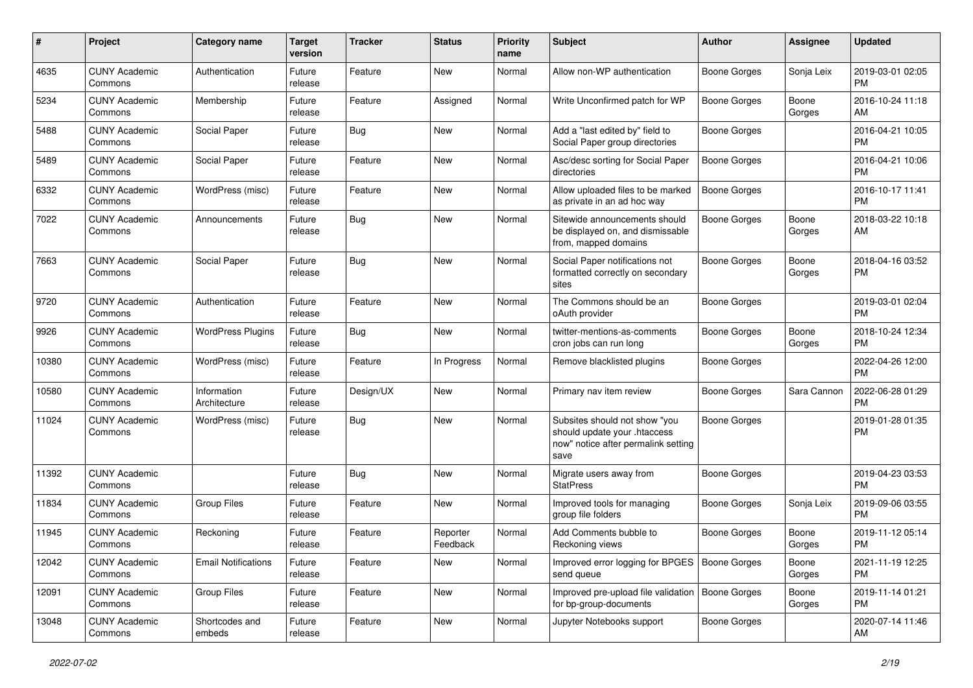| #     | Project                         | <b>Category name</b>        | <b>Target</b><br>version | <b>Tracker</b> | <b>Status</b>        | <b>Priority</b><br>name | Subject                                                                                                      | Author              | <b>Assignee</b> | <b>Updated</b>                |
|-------|---------------------------------|-----------------------------|--------------------------|----------------|----------------------|-------------------------|--------------------------------------------------------------------------------------------------------------|---------------------|-----------------|-------------------------------|
| 4635  | <b>CUNY Academic</b><br>Commons | Authentication              | Future<br>release        | Feature        | <b>New</b>           | Normal                  | Allow non-WP authentication                                                                                  | <b>Boone Gorges</b> | Sonja Leix      | 2019-03-01 02:05<br><b>PM</b> |
| 5234  | <b>CUNY Academic</b><br>Commons | Membership                  | Future<br>release        | Feature        | Assigned             | Normal                  | Write Unconfirmed patch for WP                                                                               | <b>Boone Gorges</b> | Boone<br>Gorges | 2016-10-24 11:18<br>AM        |
| 5488  | <b>CUNY Academic</b><br>Commons | Social Paper                | Future<br>release        | Bug            | New                  | Normal                  | Add a "last edited by" field to<br>Social Paper group directories                                            | Boone Gorges        |                 | 2016-04-21 10:05<br><b>PM</b> |
| 5489  | <b>CUNY Academic</b><br>Commons | Social Paper                | Future<br>release        | Feature        | <b>New</b>           | Normal                  | Asc/desc sorting for Social Paper<br>directories                                                             | Boone Gorges        |                 | 2016-04-21 10:06<br><b>PM</b> |
| 6332  | <b>CUNY Academic</b><br>Commons | WordPress (misc)            | Future<br>release        | Feature        | <b>New</b>           | Normal                  | Allow uploaded files to be marked<br>as private in an ad hoc way                                             | Boone Gorges        |                 | 2016-10-17 11:41<br><b>PM</b> |
| 7022  | <b>CUNY Academic</b><br>Commons | Announcements               | Future<br>release        | Bug            | <b>New</b>           | Normal                  | Sitewide announcements should<br>be displayed on, and dismissable<br>from, mapped domains                    | Boone Gorges        | Boone<br>Gorges | 2018-03-22 10:18<br>AM        |
| 7663  | <b>CUNY Academic</b><br>Commons | Social Paper                | Future<br>release        | Bug            | New                  | Normal                  | Social Paper notifications not<br>formatted correctly on secondary<br>sites                                  | <b>Boone Gorges</b> | Boone<br>Gorges | 2018-04-16 03:52<br><b>PM</b> |
| 9720  | <b>CUNY Academic</b><br>Commons | Authentication              | Future<br>release        | Feature        | New                  | Normal                  | The Commons should be an<br>oAuth provider                                                                   | <b>Boone Gorges</b> |                 | 2019-03-01 02:04<br><b>PM</b> |
| 9926  | <b>CUNY Academic</b><br>Commons | <b>WordPress Plugins</b>    | Future<br>release        | Bug            | New                  | Normal                  | twitter-mentions-as-comments<br>cron jobs can run long                                                       | Boone Gorges        | Boone<br>Gorges | 2018-10-24 12:34<br><b>PM</b> |
| 10380 | <b>CUNY Academic</b><br>Commons | WordPress (misc)            | Future<br>release        | Feature        | In Progress          | Normal                  | Remove blacklisted plugins                                                                                   | <b>Boone Gorges</b> |                 | 2022-04-26 12:00<br><b>PM</b> |
| 10580 | <b>CUNY Academic</b><br>Commons | Information<br>Architecture | Future<br>release        | Design/UX      | New                  | Normal                  | Primary nav item review                                                                                      | Boone Gorges        | Sara Cannon     | 2022-06-28 01:29<br><b>PM</b> |
| 11024 | <b>CUNY Academic</b><br>Commons | WordPress (misc)            | Future<br>release        | Bug            | <b>New</b>           | Normal                  | Subsites should not show "you<br>should update your .htaccess<br>now" notice after permalink setting<br>save | Boone Gorges        |                 | 2019-01-28 01:35<br><b>PM</b> |
| 11392 | <b>CUNY Academic</b><br>Commons |                             | Future<br>release        | Bug            | New                  | Normal                  | Migrate users away from<br><b>StatPress</b>                                                                  | <b>Boone Gorges</b> |                 | 2019-04-23 03:53<br><b>PM</b> |
| 11834 | <b>CUNY Academic</b><br>Commons | <b>Group Files</b>          | Future<br>release        | Feature        | New                  | Normal                  | Improved tools for managing<br>group file folders                                                            | Boone Gorges        | Sonja Leix      | 2019-09-06 03:55<br>PM        |
| 11945 | <b>CUNY Academic</b><br>Commons | Reckoning                   | Future<br>release        | Feature        | Reporter<br>Feedback | Normal                  | Add Comments bubble to<br>Reckoning views                                                                    | Boone Gorges        | Boone<br>Gorges | 2019-11-12 05:14<br><b>PM</b> |
| 12042 | <b>CUNY Academic</b><br>Commons | <b>Email Notifications</b>  | Future<br>release        | Feature        | New                  | Normal                  | Improved error logging for BPGES   Boone Gorges<br>send queue                                                |                     | Boone<br>Gorges | 2021-11-19 12:25<br>PM.       |
| 12091 | <b>CUNY Academic</b><br>Commons | Group Files                 | Future<br>release        | Feature        | New                  | Normal                  | Improved pre-upload file validation   Boone Gorges<br>for bp-group-documents                                 |                     | Boone<br>Gorges | 2019-11-14 01:21<br><b>PM</b> |
| 13048 | <b>CUNY Academic</b><br>Commons | Shortcodes and<br>embeds    | Future<br>release        | Feature        | New                  | Normal                  | Jupyter Notebooks support                                                                                    | Boone Gorges        |                 | 2020-07-14 11:46<br>AM        |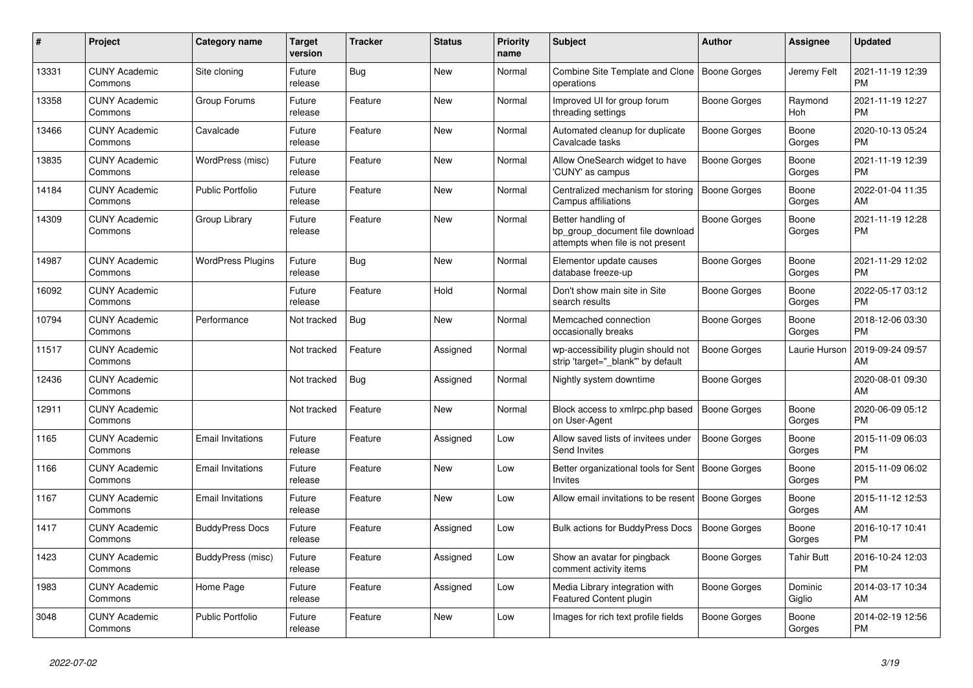| #     | <b>Project</b>                  | Category name            | Target<br>version | <b>Tracker</b> | <b>Status</b> | <b>Priority</b><br>name | <b>Subject</b>                                                                             | <b>Author</b>       | Assignee          | <b>Updated</b>                |
|-------|---------------------------------|--------------------------|-------------------|----------------|---------------|-------------------------|--------------------------------------------------------------------------------------------|---------------------|-------------------|-------------------------------|
| 13331 | <b>CUNY Academic</b><br>Commons | Site cloning             | Future<br>release | Bug            | New           | Normal                  | Combine Site Template and Clone<br>operations                                              | Boone Gorges        | Jeremy Felt       | 2021-11-19 12:39<br><b>PM</b> |
| 13358 | <b>CUNY Academic</b><br>Commons | Group Forums             | Future<br>release | Feature        | New           | Normal                  | Improved UI for group forum<br>threading settings                                          | Boone Gorges        | Raymond<br>Hoh    | 2021-11-19 12:27<br><b>PM</b> |
| 13466 | <b>CUNY Academic</b><br>Commons | Cavalcade                | Future<br>release | Feature        | <b>New</b>    | Normal                  | Automated cleanup for duplicate<br>Cavalcade tasks                                         | Boone Gorges        | Boone<br>Gorges   | 2020-10-13 05:24<br><b>PM</b> |
| 13835 | <b>CUNY Academic</b><br>Commons | WordPress (misc)         | Future<br>release | Feature        | <b>New</b>    | Normal                  | Allow OneSearch widget to have<br>'CUNY' as campus                                         | Boone Gorges        | Boone<br>Gorges   | 2021-11-19 12:39<br><b>PM</b> |
| 14184 | <b>CUNY Academic</b><br>Commons | <b>Public Portfolio</b>  | Future<br>release | Feature        | New           | Normal                  | Centralized mechanism for storing<br>Campus affiliations                                   | <b>Boone Gorges</b> | Boone<br>Gorges   | 2022-01-04 11:35<br>AM        |
| 14309 | <b>CUNY Academic</b><br>Commons | Group Library            | Future<br>release | Feature        | New           | Normal                  | Better handling of<br>bp_group_document file download<br>attempts when file is not present | Boone Gorges        | Boone<br>Gorges   | 2021-11-19 12:28<br><b>PM</b> |
| 14987 | <b>CUNY Academic</b><br>Commons | <b>WordPress Plugins</b> | Future<br>release | Bug            | <b>New</b>    | Normal                  | Elementor update causes<br>database freeze-up                                              | Boone Gorges        | Boone<br>Gorges   | 2021-11-29 12:02<br><b>PM</b> |
| 16092 | <b>CUNY Academic</b><br>Commons |                          | Future<br>release | Feature        | Hold          | Normal                  | Don't show main site in Site<br>search results                                             | Boone Gorges        | Boone<br>Gorges   | 2022-05-17 03:12<br><b>PM</b> |
| 10794 | <b>CUNY Academic</b><br>Commons | Performance              | Not tracked       | <b>Bug</b>     | New           | Normal                  | Memcached connection<br>occasionally breaks                                                | Boone Gorges        | Boone<br>Gorges   | 2018-12-06 03:30<br>PM.       |
| 11517 | <b>CUNY Academic</b><br>Commons |                          | Not tracked       | Feature        | Assigned      | Normal                  | wp-accessibility plugin should not<br>strip 'target="_blank"' by default                   | <b>Boone Gorges</b> | Laurie Hurson     | 2019-09-24 09:57<br><b>AM</b> |
| 12436 | <b>CUNY Academic</b><br>Commons |                          | Not tracked       | Bug            | Assigned      | Normal                  | Nightly system downtime                                                                    | Boone Gorges        |                   | 2020-08-01 09:30<br>AM        |
| 12911 | <b>CUNY Academic</b><br>Commons |                          | Not tracked       | Feature        | New           | Normal                  | Block access to xmlrpc.php based<br>on User-Agent                                          | Boone Gorges        | Boone<br>Gorges   | 2020-06-09 05:12<br><b>PM</b> |
| 1165  | <b>CUNY Academic</b><br>Commons | <b>Email Invitations</b> | Future<br>release | Feature        | Assigned      | Low                     | Allow saved lists of invitees under<br>Send Invites                                        | Boone Gorges        | Boone<br>Gorges   | 2015-11-09 06:03<br><b>PM</b> |
| 1166  | <b>CUNY Academic</b><br>Commons | <b>Email Invitations</b> | Future<br>release | Feature        | <b>New</b>    | Low                     | Better organizational tools for Sent<br><b>Invites</b>                                     | <b>Boone Gorges</b> | Boone<br>Gorges   | 2015-11-09 06:02<br><b>PM</b> |
| 1167  | <b>CUNY Academic</b><br>Commons | <b>Email Invitations</b> | Future<br>release | Feature        | New           | Low                     | Allow email invitations to be resent                                                       | <b>Boone Gorges</b> | Boone<br>Gorges   | 2015-11-12 12:53<br>AM        |
| 1417  | <b>CUNY Academic</b><br>Commons | <b>BuddyPress Docs</b>   | Future<br>release | Feature        | Assigned      | Low                     | <b>Bulk actions for BuddyPress Docs</b>                                                    | Boone Gorges        | Boone<br>Gorges   | 2016-10-17 10:41<br><b>PM</b> |
| 1423  | <b>CUNY Academic</b><br>Commons | BuddyPress (misc)        | Future<br>release | Feature        | Assigned      | Low                     | Show an avatar for pingback<br>comment activity items                                      | Boone Gorges        | Tahir Butt        | 2016-10-24 12:03<br><b>PM</b> |
| 1983  | <b>CUNY Academic</b><br>Commons | Home Page                | Future<br>release | Feature        | Assigned      | Low                     | Media Library integration with<br><b>Featured Content plugin</b>                           | Boone Gorges        | Dominic<br>Giglio | 2014-03-17 10:34<br>AM        |
| 3048  | <b>CUNY Academic</b><br>Commons | <b>Public Portfolio</b>  | Future<br>release | Feature        | <b>New</b>    | Low                     | Images for rich text profile fields                                                        | Boone Gorges        | Boone<br>Gorges   | 2014-02-19 12:56<br><b>PM</b> |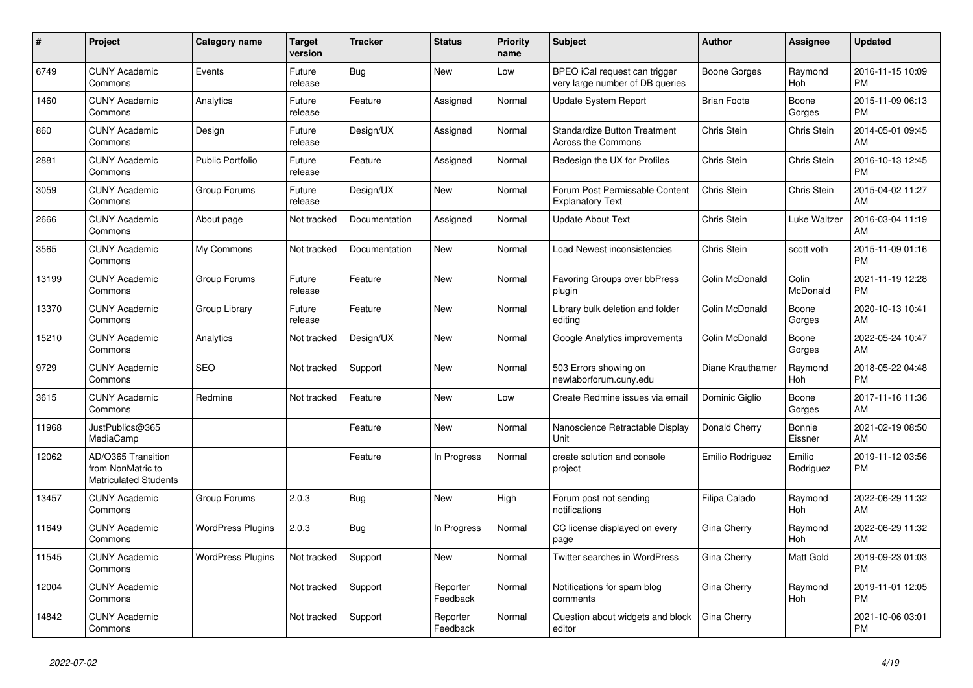| #     | Project                                                          | <b>Category name</b>     | <b>Target</b><br>version | <b>Tracker</b> | <b>Status</b>        | Priority<br>name | <b>Subject</b>                                                   | <b>Author</b>      | Assignee            | <b>Updated</b>                |
|-------|------------------------------------------------------------------|--------------------------|--------------------------|----------------|----------------------|------------------|------------------------------------------------------------------|--------------------|---------------------|-------------------------------|
| 6749  | <b>CUNY Academic</b><br>Commons                                  | Events                   | Future<br>release        | Bug            | <b>New</b>           | Low              | BPEO iCal request can trigger<br>very large number of DB queries | Boone Gorges       | Raymond<br>Hoh      | 2016-11-15 10:09<br><b>PM</b> |
| 1460  | <b>CUNY Academic</b><br>Commons                                  | Analytics                | Future<br>release        | Feature        | Assigned             | Normal           | <b>Update System Report</b>                                      | <b>Brian Foote</b> | Boone<br>Gorges     | 2015-11-09 06:13<br><b>PM</b> |
| 860   | <b>CUNY Academic</b><br>Commons                                  | Design                   | Future<br>release        | Design/UX      | Assigned             | Normal           | <b>Standardize Button Treatment</b><br><b>Across the Commons</b> | Chris Stein        | Chris Stein         | 2014-05-01 09:45<br>AM        |
| 2881  | <b>CUNY Academic</b><br>Commons                                  | <b>Public Portfolio</b>  | Future<br>release        | Feature        | Assigned             | Normal           | Redesign the UX for Profiles                                     | Chris Stein        | Chris Stein         | 2016-10-13 12:45<br><b>PM</b> |
| 3059  | <b>CUNY Academic</b><br>Commons                                  | Group Forums             | Future<br>release        | Design/UX      | New                  | Normal           | Forum Post Permissable Content<br><b>Explanatory Text</b>        | Chris Stein        | Chris Stein         | 2015-04-02 11:27<br>AM        |
| 2666  | <b>CUNY Academic</b><br>Commons                                  | About page               | Not tracked              | Documentation  | Assigned             | Normal           | <b>Update About Text</b>                                         | Chris Stein        | Luke Waltzer        | 2016-03-04 11:19<br>AM        |
| 3565  | <b>CUNY Academic</b><br>Commons                                  | My Commons               | Not tracked              | Documentation  | <b>New</b>           | Normal           | Load Newest inconsistencies                                      | Chris Stein        | scott voth          | 2015-11-09 01:16<br><b>PM</b> |
| 13199 | <b>CUNY Academic</b><br>Commons                                  | Group Forums             | Future<br>release        | Feature        | <b>New</b>           | Normal           | Favoring Groups over bbPress<br>plugin                           | Colin McDonald     | Colin<br>McDonald   | 2021-11-19 12:28<br><b>PM</b> |
| 13370 | <b>CUNY Academic</b><br>Commons                                  | Group Library            | Future<br>release        | Feature        | <b>New</b>           | Normal           | Library bulk deletion and folder<br>editing                      | Colin McDonald     | Boone<br>Gorges     | 2020-10-13 10:41<br>AM        |
| 15210 | <b>CUNY Academic</b><br>Commons                                  | Analytics                | Not tracked              | Design/UX      | New                  | Normal           | Google Analytics improvements                                    | Colin McDonald     | Boone<br>Gorges     | 2022-05-24 10:47<br>AM        |
| 9729  | <b>CUNY Academic</b><br>Commons                                  | <b>SEO</b>               | Not tracked              | Support        | <b>New</b>           | Normal           | 503 Errors showing on<br>newlaborforum.cuny.edu                  | Diane Krauthamer   | Raymond<br>Hoh      | 2018-05-22 04:48<br><b>PM</b> |
| 3615  | <b>CUNY Academic</b><br>Commons                                  | Redmine                  | Not tracked              | Feature        | New                  | Low              | Create Redmine issues via email                                  | Dominic Giglio     | Boone<br>Gorges     | 2017-11-16 11:36<br>AM        |
| 11968 | JustPublics@365<br>MediaCamp                                     |                          |                          | Feature        | New                  | Normal           | Nanoscience Retractable Display<br>Unit                          | Donald Cherry      | Bonnie<br>Eissner   | 2021-02-19 08:50<br>AM        |
| 12062 | AD/O365 Transition<br>from NonMatric to<br>Matriculated Students |                          |                          | Feature        | In Progress          | Normal           | create solution and console<br>project                           | Emilio Rodriguez   | Emilio<br>Rodriguez | 2019-11-12 03:56<br><b>PM</b> |
| 13457 | <b>CUNY Academic</b><br>Commons                                  | Group Forums             | 2.0.3                    | <b>Bug</b>     | <b>New</b>           | High             | Forum post not sending<br>notifications                          | Filipa Calado      | Raymond<br>Hoh      | 2022-06-29 11:32<br>AM        |
| 11649 | <b>CUNY Academic</b><br>Commons                                  | <b>WordPress Plugins</b> | 2.0.3                    | Bug            | In Progress          | Normal           | CC license displayed on every<br>page                            | Gina Cherry        | Raymond<br>Hoh      | 2022-06-29 11:32<br>AM        |
| 11545 | <b>CUNY Academic</b><br>Commons                                  | <b>WordPress Plugins</b> | Not tracked              | Support        | <b>New</b>           | Normal           | Twitter searches in WordPress                                    | Gina Cherry        | Matt Gold           | 2019-09-23 01:03<br><b>PM</b> |
| 12004 | <b>CUNY Academic</b><br>Commons                                  |                          | Not tracked              | Support        | Reporter<br>Feedback | Normal           | Notifications for spam blog<br>comments                          | Gina Cherry        | Raymond<br>Hoh      | 2019-11-01 12:05<br><b>PM</b> |
| 14842 | <b>CUNY Academic</b><br>Commons                                  |                          | Not tracked              | Support        | Reporter<br>Feedback | Normal           | Question about widgets and block<br>editor                       | Gina Cherry        |                     | 2021-10-06 03:01<br><b>PM</b> |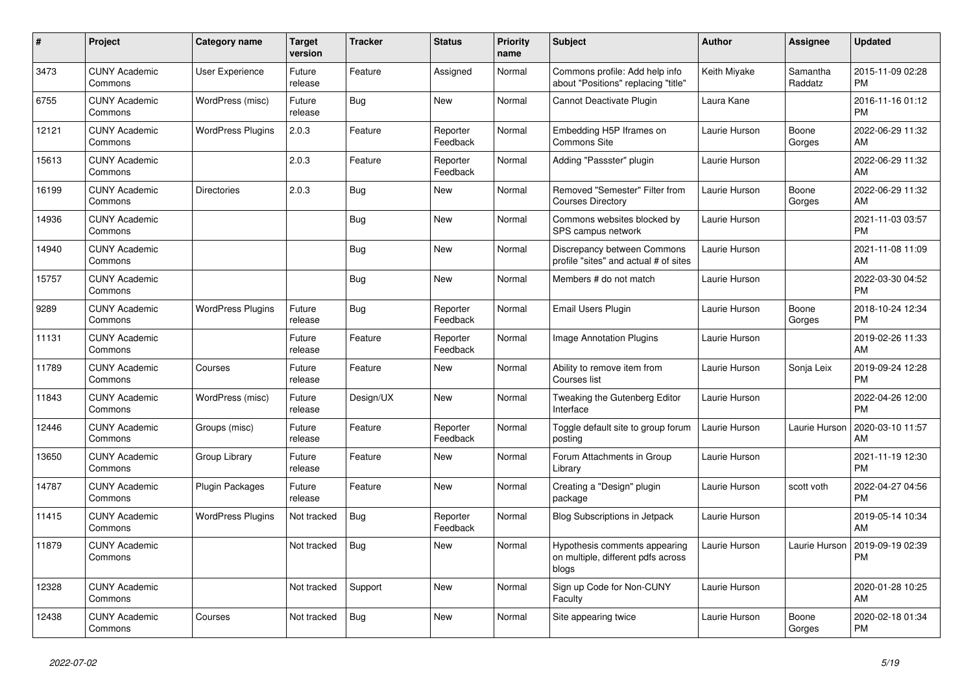| $\pmb{\sharp}$ | <b>Project</b>                  | Category name            | <b>Target</b><br>version | <b>Tracker</b> | <b>Status</b>        | <b>Priority</b><br>name | <b>Subject</b>                                                               | <b>Author</b> | Assignee            | <b>Updated</b>                |
|----------------|---------------------------------|--------------------------|--------------------------|----------------|----------------------|-------------------------|------------------------------------------------------------------------------|---------------|---------------------|-------------------------------|
| 3473           | <b>CUNY Academic</b><br>Commons | <b>User Experience</b>   | Future<br>release        | Feature        | Assigned             | Normal                  | Commons profile: Add help info<br>about "Positions" replacing "title"        | Keith Miyake  | Samantha<br>Raddatz | 2015-11-09 02:28<br><b>PM</b> |
| 6755           | <b>CUNY Academic</b><br>Commons | WordPress (misc)         | Future<br>release        | <b>Bug</b>     | New                  | Normal                  | Cannot Deactivate Plugin                                                     | Laura Kane    |                     | 2016-11-16 01:12<br><b>PM</b> |
| 12121          | <b>CUNY Academic</b><br>Commons | <b>WordPress Plugins</b> | 2.0.3                    | Feature        | Reporter<br>Feedback | Normal                  | Embedding H5P Iframes on<br><b>Commons Site</b>                              | Laurie Hurson | Boone<br>Gorges     | 2022-06-29 11:32<br>AM        |
| 15613          | <b>CUNY Academic</b><br>Commons |                          | 2.0.3                    | Feature        | Reporter<br>Feedback | Normal                  | Adding "Passster" plugin                                                     | Laurie Hurson |                     | 2022-06-29 11:32<br>AM        |
| 16199          | <b>CUNY Academic</b><br>Commons | <b>Directories</b>       | 2.0.3                    | Bug            | New                  | Normal                  | Removed "Semester" Filter from<br><b>Courses Directory</b>                   | Laurie Hurson | Boone<br>Gorges     | 2022-06-29 11:32<br>AM        |
| 14936          | <b>CUNY Academic</b><br>Commons |                          |                          | Bug            | New                  | Normal                  | Commons websites blocked by<br>SPS campus network                            | Laurie Hurson |                     | 2021-11-03 03:57<br><b>PM</b> |
| 14940          | <b>CUNY Academic</b><br>Commons |                          |                          | <b>Bug</b>     | <b>New</b>           | Normal                  | Discrepancy between Commons<br>profile "sites" and actual # of sites         | Laurie Hurson |                     | 2021-11-08 11:09<br>AM        |
| 15757          | <b>CUNY Academic</b><br>Commons |                          |                          | Bug            | <b>New</b>           | Normal                  | Members # do not match                                                       | Laurie Hurson |                     | 2022-03-30 04:52<br><b>PM</b> |
| 9289           | <b>CUNY Academic</b><br>Commons | <b>WordPress Plugins</b> | Future<br>release        | Bug            | Reporter<br>Feedback | Normal                  | Email Users Plugin                                                           | Laurie Hurson | Boone<br>Gorges     | 2018-10-24 12:34<br><b>PM</b> |
| 11131          | <b>CUNY Academic</b><br>Commons |                          | Future<br>release        | Feature        | Reporter<br>Feedback | Normal                  | Image Annotation Plugins                                                     | Laurie Hurson |                     | 2019-02-26 11:33<br>AM        |
| 11789          | <b>CUNY Academic</b><br>Commons | Courses                  | Future<br>release        | Feature        | <b>New</b>           | Normal                  | Ability to remove item from<br>Courses list                                  | Laurie Hurson | Sonja Leix          | 2019-09-24 12:28<br><b>PM</b> |
| 11843          | <b>CUNY Academic</b><br>Commons | WordPress (misc)         | Future<br>release        | Design/UX      | <b>New</b>           | Normal                  | Tweaking the Gutenberg Editor<br>Interface                                   | Laurie Hurson |                     | 2022-04-26 12:00<br><b>PM</b> |
| 12446          | <b>CUNY Academic</b><br>Commons | Groups (misc)            | Future<br>release        | Feature        | Reporter<br>Feedback | Normal                  | Toggle default site to group forum<br>postina                                | Laurie Hurson | Laurie Hurson       | 2020-03-10 11:57<br>AM        |
| 13650          | <b>CUNY Academic</b><br>Commons | Group Library            | Future<br>release        | Feature        | <b>New</b>           | Normal                  | Forum Attachments in Group<br>Library                                        | Laurie Hurson |                     | 2021-11-19 12:30<br><b>PM</b> |
| 14787          | <b>CUNY Academic</b><br>Commons | Plugin Packages          | Future<br>release        | Feature        | <b>New</b>           | Normal                  | Creating a "Design" plugin<br>package                                        | Laurie Hurson | scott voth          | 2022-04-27 04:56<br><b>PM</b> |
| 11415          | <b>CUNY Academic</b><br>Commons | <b>WordPress Plugins</b> | Not tracked              | Bug            | Reporter<br>Feedback | Normal                  | <b>Blog Subscriptions in Jetpack</b>                                         | Laurie Hurson |                     | 2019-05-14 10:34<br>AM        |
| 11879          | <b>CUNY Academic</b><br>Commons |                          | Not tracked              | Bug            | <b>New</b>           | Normal                  | Hypothesis comments appearing<br>on multiple, different pdfs across<br>blogs | Laurie Hurson | Laurie Hurson       | 2019-09-19 02:39<br><b>PM</b> |
| 12328          | <b>CUNY Academic</b><br>Commons |                          | Not tracked              | Support        | New                  | Normal                  | Sign up Code for Non-CUNY<br>Faculty                                         | Laurie Hurson |                     | 2020-01-28 10:25<br>AM        |
| 12438          | <b>CUNY Academic</b><br>Commons | Courses                  | Not tracked              | <b>Bug</b>     | <b>New</b>           | Normal                  | Site appearing twice                                                         | Laurie Hurson | Boone<br>Gorges     | 2020-02-18 01:34<br><b>PM</b> |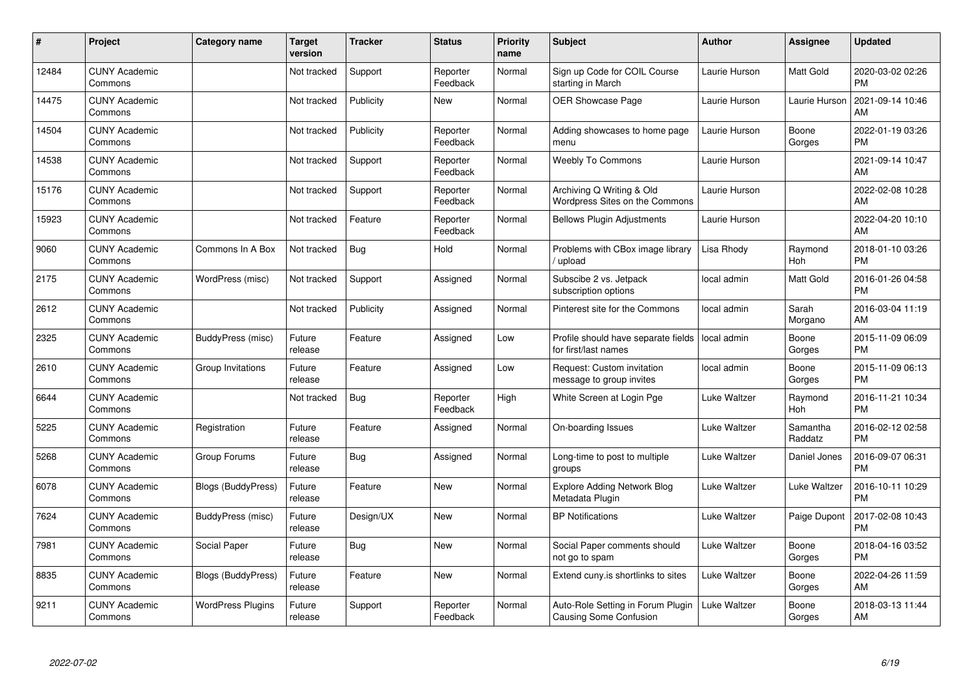| #     | Project                         | <b>Category name</b>      | <b>Target</b><br>version | <b>Tracker</b> | <b>Status</b>        | <b>Priority</b><br>name | <b>Subject</b>                                              | <b>Author</b> | <b>Assignee</b>     | <b>Updated</b>                |
|-------|---------------------------------|---------------------------|--------------------------|----------------|----------------------|-------------------------|-------------------------------------------------------------|---------------|---------------------|-------------------------------|
| 12484 | <b>CUNY Academic</b><br>Commons |                           | Not tracked              | Support        | Reporter<br>Feedback | Normal                  | Sign up Code for COIL Course<br>starting in March           | Laurie Hurson | Matt Gold           | 2020-03-02 02:26<br><b>PM</b> |
| 14475 | <b>CUNY Academic</b><br>Commons |                           | Not tracked              | Publicity      | New                  | Normal                  | <b>OER Showcase Page</b>                                    | Laurie Hurson | Laurie Hurson       | 2021-09-14 10:46<br>AM        |
| 14504 | <b>CUNY Academic</b><br>Commons |                           | Not tracked              | Publicity      | Reporter<br>Feedback | Normal                  | Adding showcases to home page<br>menu                       | Laurie Hurson | Boone<br>Gorges     | 2022-01-19 03:26<br><b>PM</b> |
| 14538 | <b>CUNY Academic</b><br>Commons |                           | Not tracked              | Support        | Reporter<br>Feedback | Normal                  | <b>Weebly To Commons</b>                                    | Laurie Hurson |                     | 2021-09-14 10:47<br>AM        |
| 15176 | <b>CUNY Academic</b><br>Commons |                           | Not tracked              | Support        | Reporter<br>Feedback | Normal                  | Archiving Q Writing & Old<br>Wordpress Sites on the Commons | Laurie Hurson |                     | 2022-02-08 10:28<br><b>AM</b> |
| 15923 | <b>CUNY Academic</b><br>Commons |                           | Not tracked              | Feature        | Reporter<br>Feedback | Normal                  | <b>Bellows Plugin Adjustments</b>                           | Laurie Hurson |                     | 2022-04-20 10:10<br>AM        |
| 9060  | <b>CUNY Academic</b><br>Commons | Commons In A Box          | Not tracked              | Bug            | Hold                 | Normal                  | Problems with CBox image library<br>/ upload                | Lisa Rhody    | Raymond<br>Hoh      | 2018-01-10 03:26<br><b>PM</b> |
| 2175  | <b>CUNY Academic</b><br>Commons | WordPress (misc)          | Not tracked              | Support        | Assigned             | Normal                  | Subscibe 2 vs. Jetpack<br>subscription options              | local admin   | Matt Gold           | 2016-01-26 04:58<br><b>PM</b> |
| 2612  | <b>CUNY Academic</b><br>Commons |                           | Not tracked              | Publicity      | Assigned             | Normal                  | Pinterest site for the Commons                              | local admin   | Sarah<br>Morgano    | 2016-03-04 11:19<br>AM        |
| 2325  | <b>CUNY Academic</b><br>Commons | BuddyPress (misc)         | Future<br>release        | Feature        | Assigned             | Low                     | Profile should have separate fields<br>for first/last names | local admin   | Boone<br>Gorges     | 2015-11-09 06:09<br><b>PM</b> |
| 2610  | <b>CUNY Academic</b><br>Commons | Group Invitations         | Future<br>release        | Feature        | Assigned             | Low                     | Request: Custom invitation<br>message to group invites      | local admin   | Boone<br>Gorges     | 2015-11-09 06:13<br><b>PM</b> |
| 6644  | <b>CUNY Academic</b><br>Commons |                           | Not tracked              | Bug            | Reporter<br>Feedback | High                    | White Screen at Login Pge                                   | Luke Waltzer  | Raymond<br>Hoh      | 2016-11-21 10:34<br><b>PM</b> |
| 5225  | <b>CUNY Academic</b><br>Commons | Registration              | Future<br>release        | Feature        | Assigned             | Normal                  | On-boarding Issues                                          | Luke Waltzer  | Samantha<br>Raddatz | 2016-02-12 02:58<br><b>PM</b> |
| 5268  | <b>CUNY Academic</b><br>Commons | Group Forums              | Future<br>release        | <b>Bug</b>     | Assigned             | Normal                  | Long-time to post to multiple<br>groups                     | Luke Waltzer  | Daniel Jones        | 2016-09-07 06:31<br>PM.       |
| 6078  | <b>CUNY Academic</b><br>Commons | <b>Blogs (BuddyPress)</b> | Future<br>release        | Feature        | New                  | Normal                  | <b>Explore Adding Network Blog</b><br>Metadata Plugin       | Luke Waltzer  | Luke Waltzer        | 2016-10-11 10:29<br><b>PM</b> |
| 7624  | <b>CUNY Academic</b><br>Commons | BuddyPress (misc)         | Future<br>release        | Design/UX      | New                  | Normal                  | <b>BP Notifications</b>                                     | Luke Waltzer  | Paige Dupont        | 2017-02-08 10:43<br><b>PM</b> |
| 7981  | <b>CUNY Academic</b><br>Commons | Social Paper              | Future<br>release        | Bug            | New                  | Normal                  | Social Paper comments should<br>not go to spam              | Luke Waltzer  | Boone<br>Gorges     | 2018-04-16 03:52<br><b>PM</b> |
| 8835  | <b>CUNY Academic</b><br>Commons | <b>Blogs (BuddyPress)</b> | Future<br>release        | Feature        | New                  | Normal                  | Extend cuny is shortlinks to sites                          | Luke Waltzer  | Boone<br>Gorges     | 2022-04-26 11:59<br>AM.       |
| 9211  | <b>CUNY Academic</b><br>Commons | <b>WordPress Plugins</b>  | Future<br>release        | Support        | Reporter<br>Feedback | Normal                  | Auto-Role Setting in Forum Plugin<br>Causing Some Confusion | Luke Waltzer  | Boone<br>Gorges     | 2018-03-13 11:44<br>AM        |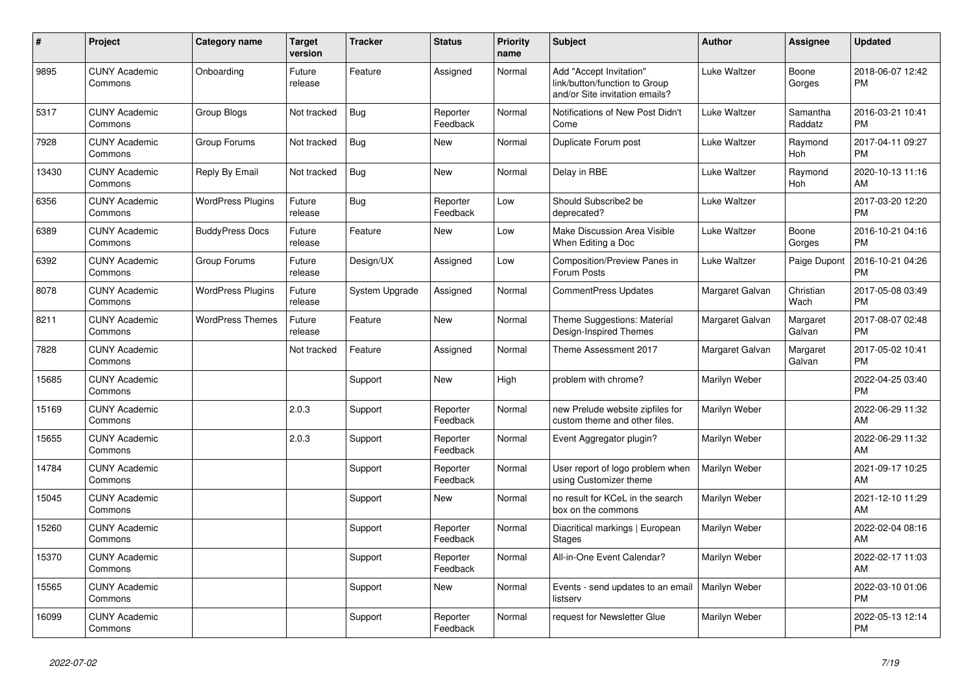| #     | Project                         | Category name            | <b>Target</b><br>version | <b>Tracker</b> | <b>Status</b>        | <b>Priority</b><br>name | <b>Subject</b>                                                                             | <b>Author</b>   | Assignee            | <b>Updated</b>                |
|-------|---------------------------------|--------------------------|--------------------------|----------------|----------------------|-------------------------|--------------------------------------------------------------------------------------------|-----------------|---------------------|-------------------------------|
| 9895  | <b>CUNY Academic</b><br>Commons | Onboarding               | Future<br>release        | Feature        | Assigned             | Normal                  | Add "Accept Invitation"<br>link/button/function to Group<br>and/or Site invitation emails? | Luke Waltzer    | Boone<br>Gorges     | 2018-06-07 12:42<br><b>PM</b> |
| 5317  | <b>CUNY Academic</b><br>Commons | Group Blogs              | Not tracked              | Bug            | Reporter<br>Feedback | Normal                  | Notifications of New Post Didn't<br>Come                                                   | Luke Waltzer    | Samantha<br>Raddatz | 2016-03-21 10:41<br><b>PM</b> |
| 7928  | <b>CUNY Academic</b><br>Commons | Group Forums             | Not tracked              | <b>Bug</b>     | <b>New</b>           | Normal                  | Duplicate Forum post                                                                       | Luke Waltzer    | Raymond<br>Hoh      | 2017-04-11 09:27<br><b>PM</b> |
| 13430 | <b>CUNY Academic</b><br>Commons | Reply By Email           | Not tracked              | Bug            | <b>New</b>           | Normal                  | Delay in RBE                                                                               | Luke Waltzer    | Raymond<br>Hoh      | 2020-10-13 11:16<br>AM        |
| 6356  | <b>CUNY Academic</b><br>Commons | <b>WordPress Plugins</b> | Future<br>release        | Bug            | Reporter<br>Feedback | Low                     | Should Subscribe2 be<br>deprecated?                                                        | Luke Waltzer    |                     | 2017-03-20 12:20<br><b>PM</b> |
| 6389  | <b>CUNY Academic</b><br>Commons | <b>BuddyPress Docs</b>   | Future<br>release        | Feature        | <b>New</b>           | Low                     | Make Discussion Area Visible<br>When Editing a Doc                                         | Luke Waltzer    | Boone<br>Gorges     | 2016-10-21 04:16<br><b>PM</b> |
| 6392  | <b>CUNY Academic</b><br>Commons | Group Forums             | Future<br>release        | Design/UX      | Assigned             | Low                     | Composition/Preview Panes in<br>Forum Posts                                                | Luke Waltzer    | Paige Dupont        | 2016-10-21 04:26<br><b>PM</b> |
| 8078  | <b>CUNY Academic</b><br>Commons | <b>WordPress Plugins</b> | Future<br>release        | System Upgrade | Assigned             | Normal                  | CommentPress Updates                                                                       | Margaret Galvan | Christian<br>Wach   | 2017-05-08 03:49<br><b>PM</b> |
| 8211  | <b>CUNY Academic</b><br>Commons | <b>WordPress Themes</b>  | Future<br>release        | Feature        | <b>New</b>           | Normal                  | Theme Suggestions: Material<br>Design-Inspired Themes                                      | Margaret Galvan | Margaret<br>Galvan  | 2017-08-07 02:48<br><b>PM</b> |
| 7828  | <b>CUNY Academic</b><br>Commons |                          | Not tracked              | Feature        | Assigned             | Normal                  | Theme Assessment 2017                                                                      | Margaret Galvan | Margaret<br>Galvan  | 2017-05-02 10:41<br><b>PM</b> |
| 15685 | <b>CUNY Academic</b><br>Commons |                          |                          | Support        | <b>New</b>           | High                    | problem with chrome?                                                                       | Marilyn Weber   |                     | 2022-04-25 03:40<br><b>PM</b> |
| 15169 | <b>CUNY Academic</b><br>Commons |                          | 2.0.3                    | Support        | Reporter<br>Feedback | Normal                  | new Prelude website zipfiles for<br>custom theme and other files.                          | Marilyn Weber   |                     | 2022-06-29 11:32<br>AM        |
| 15655 | <b>CUNY Academic</b><br>Commons |                          | 2.0.3                    | Support        | Reporter<br>Feedback | Normal                  | Event Aggregator plugin?                                                                   | Marilyn Weber   |                     | 2022-06-29 11:32<br>AM        |
| 14784 | <b>CUNY Academic</b><br>Commons |                          |                          | Support        | Reporter<br>Feedback | Normal                  | User report of logo problem when<br>using Customizer theme                                 | Marilyn Weber   |                     | 2021-09-17 10:25<br>AM        |
| 15045 | <b>CUNY Academic</b><br>Commons |                          |                          | Support        | <b>New</b>           | Normal                  | no result for KCeL in the search<br>box on the commons                                     | Marilyn Weber   |                     | 2021-12-10 11:29<br>AM        |
| 15260 | <b>CUNY Academic</b><br>Commons |                          |                          | Support        | Reporter<br>Feedback | Normal                  | Diacritical markings   European<br><b>Stages</b>                                           | Marilyn Weber   |                     | 2022-02-04 08:16<br>AM        |
| 15370 | <b>CUNY Academic</b><br>Commons |                          |                          | Support        | Reporter<br>Feedback | Normal                  | All-in-One Event Calendar?                                                                 | Marilyn Weber   |                     | 2022-02-17 11:03<br>AM        |
| 15565 | <b>CUNY Academic</b><br>Commons |                          |                          | Support        | <b>New</b>           | Normal                  | Events - send updates to an email<br>listserv                                              | Marilyn Weber   |                     | 2022-03-10 01:06<br><b>PM</b> |
| 16099 | <b>CUNY Academic</b><br>Commons |                          |                          | Support        | Reporter<br>Feedback | Normal                  | request for Newsletter Glue                                                                | Marilyn Weber   |                     | 2022-05-13 12:14<br><b>PM</b> |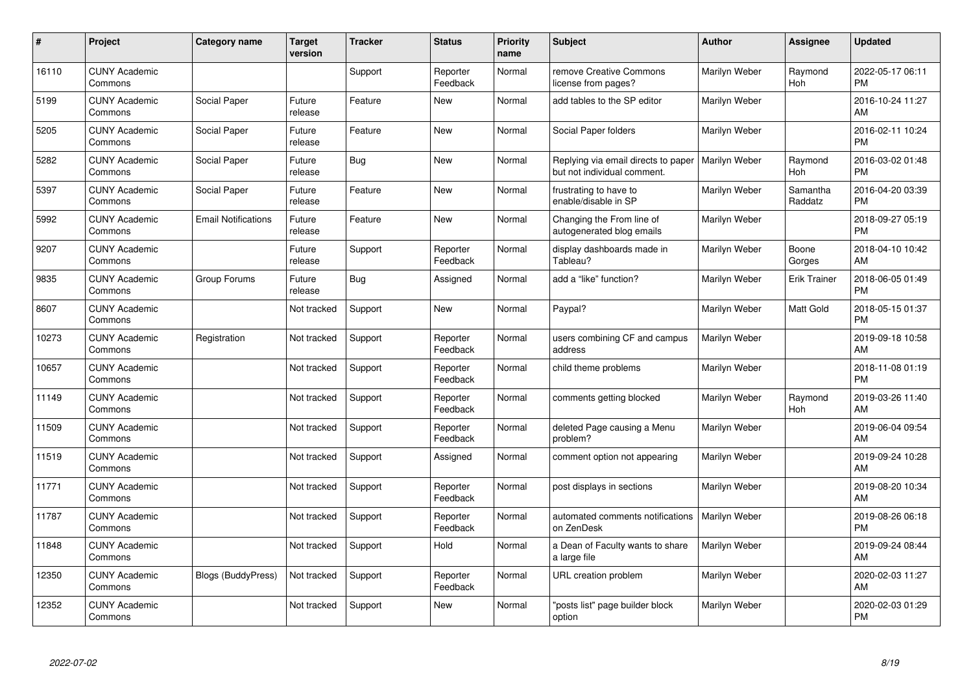| #     | Project                         | <b>Category name</b>       | <b>Target</b><br>version | <b>Tracker</b> | <b>Status</b>        | Priority<br>name | <b>Subject</b>                                                     | <b>Author</b> | Assignee            | <b>Updated</b>                |
|-------|---------------------------------|----------------------------|--------------------------|----------------|----------------------|------------------|--------------------------------------------------------------------|---------------|---------------------|-------------------------------|
| 16110 | <b>CUNY Academic</b><br>Commons |                            |                          | Support        | Reporter<br>Feedback | Normal           | remove Creative Commons<br>license from pages?                     | Marilyn Weber | Raymond<br>Hoh      | 2022-05-17 06:11<br><b>PM</b> |
| 5199  | <b>CUNY Academic</b><br>Commons | Social Paper               | Future<br>release        | Feature        | <b>New</b>           | Normal           | add tables to the SP editor                                        | Marilyn Weber |                     | 2016-10-24 11:27<br>AM        |
| 5205  | <b>CUNY Academic</b><br>Commons | Social Paper               | Future<br>release        | Feature        | <b>New</b>           | Normal           | Social Paper folders                                               | Marilyn Weber |                     | 2016-02-11 10:24<br><b>PM</b> |
| 5282  | <b>CUNY Academic</b><br>Commons | Social Paper               | Future<br>release        | Bug            | <b>New</b>           | Normal           | Replying via email directs to paper<br>but not individual comment. | Marilyn Weber | Raymond<br>Hoh      | 2016-03-02 01:48<br><b>PM</b> |
| 5397  | <b>CUNY Academic</b><br>Commons | Social Paper               | Future<br>release        | Feature        | <b>New</b>           | Normal           | frustrating to have to<br>enable/disable in SP                     | Marilyn Weber | Samantha<br>Raddatz | 2016-04-20 03:39<br><b>PM</b> |
| 5992  | <b>CUNY Academic</b><br>Commons | <b>Email Notifications</b> | Future<br>release        | Feature        | <b>New</b>           | Normal           | Changing the From line of<br>autogenerated blog emails             | Marilyn Weber |                     | 2018-09-27 05:19<br><b>PM</b> |
| 9207  | <b>CUNY Academic</b><br>Commons |                            | Future<br>release        | Support        | Reporter<br>Feedback | Normal           | display dashboards made in<br>Tableau?                             | Marilyn Weber | Boone<br>Gorges     | 2018-04-10 10:42<br>AM        |
| 9835  | <b>CUNY Academic</b><br>Commons | Group Forums               | Future<br>release        | <b>Bug</b>     | Assigned             | Normal           | add a "like" function?                                             | Marilyn Weber | Erik Trainer        | 2018-06-05 01:49<br><b>PM</b> |
| 8607  | <b>CUNY Academic</b><br>Commons |                            | Not tracked              | Support        | New                  | Normal           | Paypal?                                                            | Marilyn Weber | Matt Gold           | 2018-05-15 01:37<br><b>PM</b> |
| 10273 | <b>CUNY Academic</b><br>Commons | Registration               | Not tracked              | Support        | Reporter<br>Feedback | Normal           | users combining CF and campus<br>address                           | Marilyn Weber |                     | 2019-09-18 10:58<br>AM        |
| 10657 | <b>CUNY Academic</b><br>Commons |                            | Not tracked              | Support        | Reporter<br>Feedback | Normal           | child theme problems                                               | Marilyn Weber |                     | 2018-11-08 01:19<br><b>PM</b> |
| 11149 | <b>CUNY Academic</b><br>Commons |                            | Not tracked              | Support        | Reporter<br>Feedback | Normal           | comments getting blocked                                           | Marilyn Weber | Raymond<br>Hoh      | 2019-03-26 11:40<br>AM        |
| 11509 | <b>CUNY Academic</b><br>Commons |                            | Not tracked              | Support        | Reporter<br>Feedback | Normal           | deleted Page causing a Menu<br>problem?                            | Marilyn Weber |                     | 2019-06-04 09:54<br>AM        |
| 11519 | <b>CUNY Academic</b><br>Commons |                            | Not tracked              | Support        | Assigned             | Normal           | comment option not appearing                                       | Marilyn Weber |                     | 2019-09-24 10:28<br><b>AM</b> |
| 11771 | <b>CUNY Academic</b><br>Commons |                            | Not tracked              | Support        | Reporter<br>Feedback | Normal           | post displays in sections                                          | Marilyn Weber |                     | 2019-08-20 10:34<br><b>AM</b> |
| 11787 | <b>CUNY Academic</b><br>Commons |                            | Not tracked              | Support        | Reporter<br>Feedback | Normal           | automated comments notifications<br>on ZenDesk                     | Marilyn Weber |                     | 2019-08-26 06:18<br><b>PM</b> |
| 11848 | <b>CUNY Academic</b><br>Commons |                            | Not tracked              | Support        | Hold                 | Normal           | a Dean of Faculty wants to share<br>a large file                   | Marilyn Weber |                     | 2019-09-24 08:44<br><b>AM</b> |
| 12350 | <b>CUNY Academic</b><br>Commons | Blogs (BuddyPress)         | Not tracked              | Support        | Reporter<br>Feedback | Normal           | URL creation problem                                               | Marilyn Weber |                     | 2020-02-03 11:27<br>AM        |
| 12352 | <b>CUNY Academic</b><br>Commons |                            | Not tracked              | Support        | <b>New</b>           | Normal           | 'posts list" page builder block<br>option                          | Marilyn Weber |                     | 2020-02-03 01:29<br>PM        |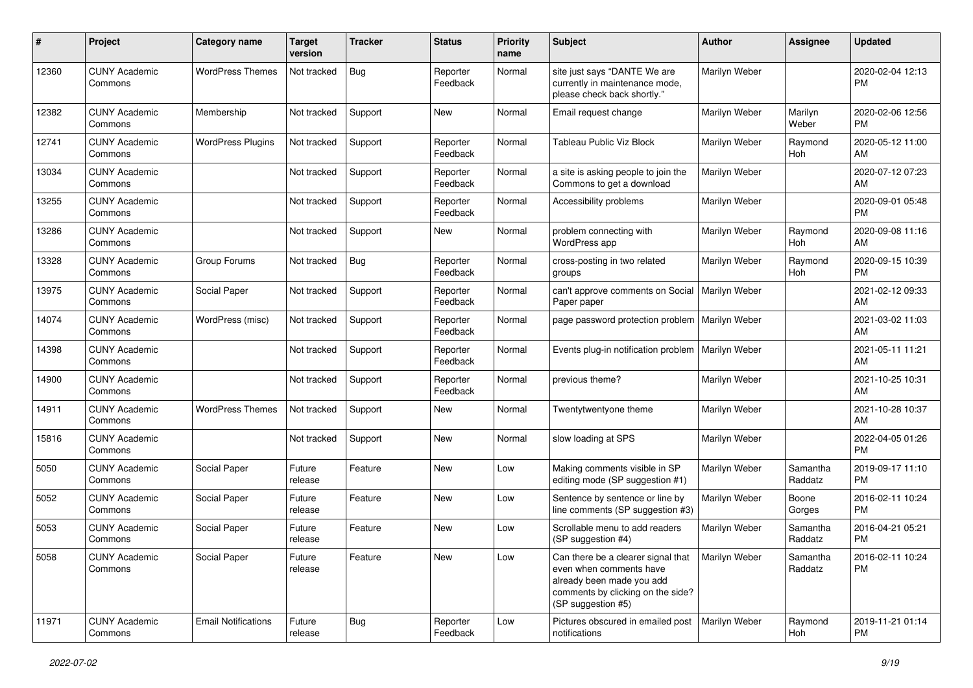| #     | Project                         | <b>Category name</b>       | <b>Target</b><br>version | Tracker    | <b>Status</b>        | Priority<br>name | <b>Subject</b>                                                                                                                                        | <b>Author</b> | <b>Assignee</b>     | <b>Updated</b>                |
|-------|---------------------------------|----------------------------|--------------------------|------------|----------------------|------------------|-------------------------------------------------------------------------------------------------------------------------------------------------------|---------------|---------------------|-------------------------------|
| 12360 | <b>CUNY Academic</b><br>Commons | <b>WordPress Themes</b>    | Not tracked              | <b>Bug</b> | Reporter<br>Feedback | Normal           | site just says "DANTE We are<br>currently in maintenance mode,<br>please check back shortly."                                                         | Marilyn Weber |                     | 2020-02-04 12:13<br><b>PM</b> |
| 12382 | <b>CUNY Academic</b><br>Commons | Membership                 | Not tracked              | Support    | New                  | Normal           | Email request change                                                                                                                                  | Marilyn Weber | Marilyn<br>Weber    | 2020-02-06 12:56<br><b>PM</b> |
| 12741 | <b>CUNY Academic</b><br>Commons | <b>WordPress Plugins</b>   | Not tracked              | Support    | Reporter<br>Feedback | Normal           | Tableau Public Viz Block                                                                                                                              | Marilyn Weber | Raymond<br>Hoh      | 2020-05-12 11:00<br>AM        |
| 13034 | <b>CUNY Academic</b><br>Commons |                            | Not tracked              | Support    | Reporter<br>Feedback | Normal           | a site is asking people to join the<br>Commons to get a download                                                                                      | Marilyn Weber |                     | 2020-07-12 07:23<br>AM        |
| 13255 | <b>CUNY Academic</b><br>Commons |                            | Not tracked              | Support    | Reporter<br>Feedback | Normal           | Accessibility problems                                                                                                                                | Marilyn Weber |                     | 2020-09-01 05:48<br><b>PM</b> |
| 13286 | <b>CUNY Academic</b><br>Commons |                            | Not tracked              | Support    | New                  | Normal           | problem connecting with<br>WordPress app                                                                                                              | Marilyn Weber | Raymond<br>Hoh      | 2020-09-08 11:16<br>AM        |
| 13328 | <b>CUNY Academic</b><br>Commons | Group Forums               | Not tracked              | Bug        | Reporter<br>Feedback | Normal           | cross-posting in two related<br>groups                                                                                                                | Marilyn Weber | Raymond<br>Hoh      | 2020-09-15 10:39<br><b>PM</b> |
| 13975 | <b>CUNY Academic</b><br>Commons | Social Paper               | Not tracked              | Support    | Reporter<br>Feedback | Normal           | can't approve comments on Social<br>Paper paper                                                                                                       | Marilyn Weber |                     | 2021-02-12 09:33<br>AM        |
| 14074 | <b>CUNY Academic</b><br>Commons | WordPress (misc)           | Not tracked              | Support    | Reporter<br>Feedback | Normal           | page password protection problem                                                                                                                      | Marilyn Weber |                     | 2021-03-02 11:03<br>AM        |
| 14398 | <b>CUNY Academic</b><br>Commons |                            | Not tracked              | Support    | Reporter<br>Feedback | Normal           | Events plug-in notification problem   Marilyn Weber                                                                                                   |               |                     | 2021-05-11 11:21<br>AM        |
| 14900 | <b>CUNY Academic</b><br>Commons |                            | Not tracked              | Support    | Reporter<br>Feedback | Normal           | previous theme?                                                                                                                                       | Marilyn Weber |                     | 2021-10-25 10:31<br>AM        |
| 14911 | <b>CUNY Academic</b><br>Commons | <b>WordPress Themes</b>    | Not tracked              | Support    | New                  | Normal           | Twentytwentyone theme                                                                                                                                 | Marilyn Weber |                     | 2021-10-28 10:37<br>AM        |
| 15816 | <b>CUNY Academic</b><br>Commons |                            | Not tracked              | Support    | New                  | Normal           | slow loading at SPS                                                                                                                                   | Marilyn Weber |                     | 2022-04-05 01:26<br><b>PM</b> |
| 5050  | <b>CUNY Academic</b><br>Commons | Social Paper               | Future<br>release        | Feature    | New                  | Low              | Making comments visible in SP<br>editing mode (SP suggestion #1)                                                                                      | Marilyn Weber | Samantha<br>Raddatz | 2019-09-17 11:10<br><b>PM</b> |
| 5052  | <b>CUNY Academic</b><br>Commons | Social Paper               | Future<br>release        | Feature    | New                  | Low              | Sentence by sentence or line by<br>line comments (SP suggestion #3)                                                                                   | Marilyn Weber | Boone<br>Gorges     | 2016-02-11 10:24<br><b>PM</b> |
| 5053  | <b>CUNY Academic</b><br>Commons | Social Paper               | Future<br>release        | Feature    | New                  | Low              | Scrollable menu to add readers<br>(SP suggestion #4)                                                                                                  | Marilyn Weber | Samantha<br>Raddatz | 2016-04-21 05:21<br><b>PM</b> |
| 5058  | <b>CUNY Academic</b><br>Commons | Social Paper               | Future<br>release        | Feature    | New                  | Low              | Can there be a clearer signal that<br>even when comments have<br>already been made you add<br>comments by clicking on the side?<br>(SP suggestion #5) | Marilyn Weber | Samantha<br>Raddatz | 2016-02-11 10:24<br><b>PM</b> |
| 11971 | <b>CUNY Academic</b><br>Commons | <b>Email Notifications</b> | Future<br>release        | <b>Bug</b> | Reporter<br>Feedback | Low              | Pictures obscured in emailed post<br>notifications                                                                                                    | Marilyn Weber | Raymond<br>Hoh      | 2019-11-21 01:14<br>PM        |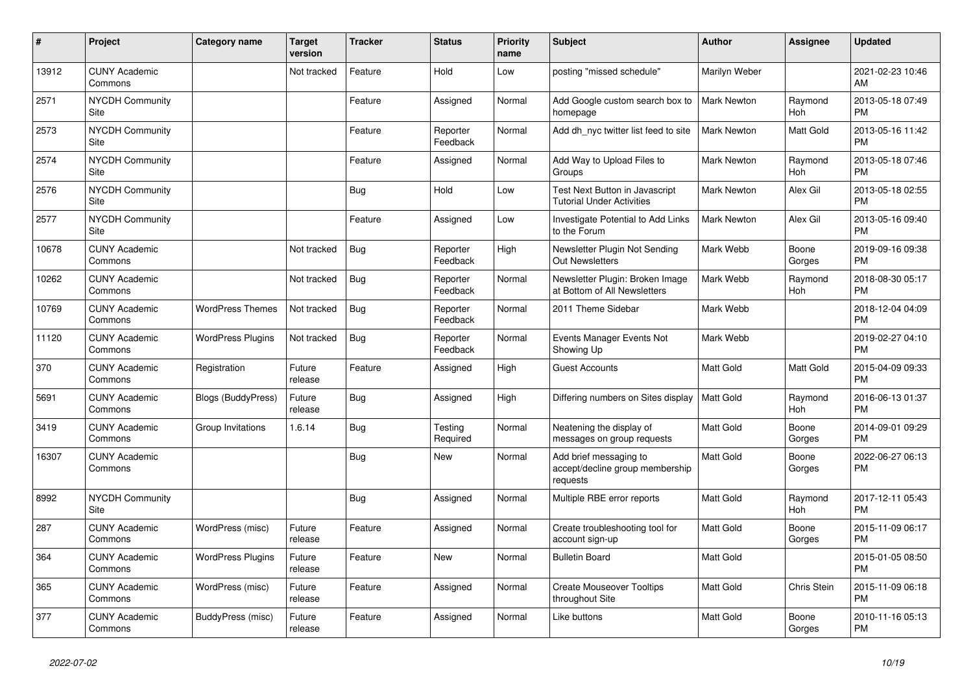| #     | Project                               | <b>Category name</b>      | <b>Target</b><br>version | <b>Tracker</b> | <b>Status</b>        | <b>Priority</b><br>name | <b>Subject</b>                                                        | <b>Author</b>      | Assignee        | <b>Updated</b>                |
|-------|---------------------------------------|---------------------------|--------------------------|----------------|----------------------|-------------------------|-----------------------------------------------------------------------|--------------------|-----------------|-------------------------------|
| 13912 | <b>CUNY Academic</b><br>Commons       |                           | Not tracked              | Feature        | Hold                 | Low                     | posting "missed schedule"                                             | Marilyn Weber      |                 | 2021-02-23 10:46<br>AM        |
| 2571  | <b>NYCDH Community</b><br>Site        |                           |                          | Feature        | Assigned             | Normal                  | Add Google custom search box to<br>homepage                           | <b>Mark Newton</b> | Raymond<br>Hoh  | 2013-05-18 07:49<br><b>PM</b> |
| 2573  | <b>NYCDH Community</b><br><b>Site</b> |                           |                          | Feature        | Reporter<br>Feedback | Normal                  | Add dh_nyc twitter list feed to site                                  | <b>Mark Newton</b> | Matt Gold       | 2013-05-16 11:42<br><b>PM</b> |
| 2574  | <b>NYCDH Community</b><br>Site        |                           |                          | Feature        | Assigned             | Normal                  | Add Way to Upload Files to<br>Groups                                  | <b>Mark Newton</b> | Raymond<br>Hoh  | 2013-05-18 07:46<br><b>PM</b> |
| 2576  | <b>NYCDH Community</b><br>Site        |                           |                          | Bug            | Hold                 | Low                     | Test Next Button in Javascript<br><b>Tutorial Under Activities</b>    | <b>Mark Newton</b> | Alex Gil        | 2013-05-18 02:55<br><b>PM</b> |
| 2577  | <b>NYCDH Community</b><br>Site        |                           |                          | Feature        | Assigned             | Low                     | Investigate Potential to Add Links<br>to the Forum                    | <b>Mark Newton</b> | Alex Gil        | 2013-05-16 09:40<br><b>PM</b> |
| 10678 | <b>CUNY Academic</b><br>Commons       |                           | Not tracked              | <b>Bug</b>     | Reporter<br>Feedback | High                    | Newsletter Plugin Not Sending<br><b>Out Newsletters</b>               | Mark Webb          | Boone<br>Gorges | 2019-09-16 09:38<br><b>PM</b> |
| 10262 | <b>CUNY Academic</b><br>Commons       |                           | Not tracked              | Bug            | Reporter<br>Feedback | Normal                  | Newsletter Plugin: Broken Image<br>at Bottom of All Newsletters       | Mark Webb          | Raymond<br>Hoh  | 2018-08-30 05:17<br><b>PM</b> |
| 10769 | <b>CUNY Academic</b><br>Commons       | <b>WordPress Themes</b>   | Not tracked              | Bug            | Reporter<br>Feedback | Normal                  | 2011 Theme Sidebar                                                    | Mark Webb          |                 | 2018-12-04 04:09<br><b>PM</b> |
| 11120 | <b>CUNY Academic</b><br>Commons       | <b>WordPress Plugins</b>  | Not tracked              | Bug            | Reporter<br>Feedback | Normal                  | Events Manager Events Not<br>Showing Up                               | Mark Webb          |                 | 2019-02-27 04:10<br><b>PM</b> |
| 370   | <b>CUNY Academic</b><br>Commons       | Registration              | Future<br>release        | Feature        | Assigned             | High                    | <b>Guest Accounts</b>                                                 | <b>Matt Gold</b>   | Matt Gold       | 2015-04-09 09:33<br><b>PM</b> |
| 5691  | <b>CUNY Academic</b><br>Commons       | <b>Blogs (BuddyPress)</b> | Future<br>release        | Bug            | Assigned             | High                    | Differing numbers on Sites display                                    | Matt Gold          | Raymond<br>Hoh  | 2016-06-13 01:37<br><b>PM</b> |
| 3419  | <b>CUNY Academic</b><br>Commons       | Group Invitations         | 1.6.14                   | Bug            | Testing<br>Required  | Normal                  | Neatening the display of<br>messages on group requests                | <b>Matt Gold</b>   | Boone<br>Gorges | 2014-09-01 09:29<br><b>PM</b> |
| 16307 | <b>CUNY Academic</b><br>Commons       |                           |                          | Bug            | <b>New</b>           | Normal                  | Add brief messaging to<br>accept/decline group membership<br>requests | <b>Matt Gold</b>   | Boone<br>Gorges | 2022-06-27 06:13<br><b>PM</b> |
| 8992  | <b>NYCDH Community</b><br>Site        |                           |                          | <b>Bug</b>     | Assigned             | Normal                  | Multiple RBE error reports                                            | <b>Matt Gold</b>   | Raymond<br>Hoh  | 2017-12-11 05:43<br><b>PM</b> |
| 287   | <b>CUNY Academic</b><br>Commons       | WordPress (misc)          | Future<br>release        | Feature        | Assigned             | Normal                  | Create troubleshooting tool for<br>account sign-up                    | Matt Gold          | Boone<br>Gorges | 2015-11-09 06:17<br><b>PM</b> |
| 364   | <b>CUNY Academic</b><br>Commons       | <b>WordPress Plugins</b>  | Future<br>release        | Feature        | <b>New</b>           | Normal                  | <b>Bulletin Board</b>                                                 | <b>Matt Gold</b>   |                 | 2015-01-05 08:50<br><b>PM</b> |
| 365   | <b>CUNY Academic</b><br>Commons       | WordPress (misc)          | Future<br>release        | Feature        | Assigned             | Normal                  | <b>Create Mouseover Tooltips</b><br>throughout Site                   | <b>Matt Gold</b>   | Chris Stein     | 2015-11-09 06:18<br><b>PM</b> |
| 377   | <b>CUNY Academic</b><br>Commons       | BuddyPress (misc)         | Future<br>release        | Feature        | Assigned             | Normal                  | Like buttons                                                          | <b>Matt Gold</b>   | Boone<br>Gorges | 2010-11-16 05:13<br><b>PM</b> |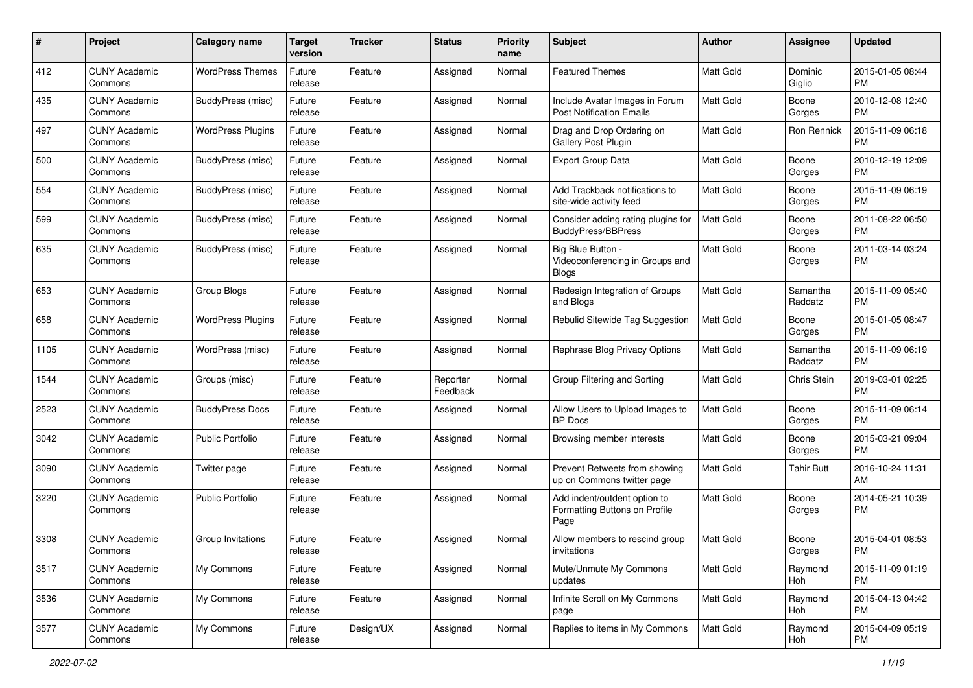| #    | Project                         | <b>Category name</b>     | <b>Target</b><br>version | <b>Tracker</b> | <b>Status</b>        | Priority<br>name | <b>Subject</b>                                                        | Author           | <b>Assignee</b>     | <b>Updated</b>                |
|------|---------------------------------|--------------------------|--------------------------|----------------|----------------------|------------------|-----------------------------------------------------------------------|------------------|---------------------|-------------------------------|
| 412  | <b>CUNY Academic</b><br>Commons | <b>WordPress Themes</b>  | Future<br>release        | Feature        | Assigned             | Normal           | <b>Featured Themes</b>                                                | <b>Matt Gold</b> | Dominic<br>Giglio   | 2015-01-05 08:44<br>PM.       |
| 435  | <b>CUNY Academic</b><br>Commons | <b>BuddyPress</b> (misc) | Future<br>release        | Feature        | Assigned             | Normal           | Include Avatar Images in Forum<br><b>Post Notification Emails</b>     | <b>Matt Gold</b> | Boone<br>Gorges     | 2010-12-08 12:40<br><b>PM</b> |
| 497  | <b>CUNY Academic</b><br>Commons | <b>WordPress Plugins</b> | Future<br>release        | Feature        | Assigned             | Normal           | Drag and Drop Ordering on<br><b>Gallery Post Plugin</b>               | Matt Gold        | Ron Rennick         | 2015-11-09 06:18<br><b>PM</b> |
| 500  | <b>CUNY Academic</b><br>Commons | BuddyPress (misc)        | Future<br>release        | Feature        | Assigned             | Normal           | <b>Export Group Data</b>                                              | <b>Matt Gold</b> | Boone<br>Gorges     | 2010-12-19 12:09<br><b>PM</b> |
| 554  | <b>CUNY Academic</b><br>Commons | <b>BuddyPress (misc)</b> | Future<br>release        | Feature        | Assigned             | Normal           | Add Trackback notifications to<br>site-wide activity feed             | <b>Matt Gold</b> | Boone<br>Gorges     | 2015-11-09 06:19<br><b>PM</b> |
| 599  | <b>CUNY Academic</b><br>Commons | BuddyPress (misc)        | Future<br>release        | Feature        | Assigned             | Normal           | Consider adding rating plugins for<br><b>BuddyPress/BBPress</b>       | <b>Matt Gold</b> | Boone<br>Gorges     | 2011-08-22 06:50<br><b>PM</b> |
| 635  | <b>CUNY Academic</b><br>Commons | BuddyPress (misc)        | Future<br>release        | Feature        | Assigned             | Normal           | Big Blue Button -<br>Videoconferencing in Groups and<br><b>Blogs</b>  | Matt Gold        | Boone<br>Gorges     | 2011-03-14 03:24<br>PM        |
| 653  | <b>CUNY Academic</b><br>Commons | Group Blogs              | Future<br>release        | Feature        | Assigned             | Normal           | Redesign Integration of Groups<br>and Blogs                           | Matt Gold        | Samantha<br>Raddatz | 2015-11-09 05:40<br><b>PM</b> |
| 658  | <b>CUNY Academic</b><br>Commons | <b>WordPress Plugins</b> | Future<br>release        | Feature        | Assigned             | Normal           | Rebulid Sitewide Tag Suggestion                                       | <b>Matt Gold</b> | Boone<br>Gorges     | 2015-01-05 08:47<br>PM.       |
| 1105 | <b>CUNY Academic</b><br>Commons | WordPress (misc)         | Future<br>release        | Feature        | Assigned             | Normal           | Rephrase Blog Privacy Options                                         | Matt Gold        | Samantha<br>Raddatz | 2015-11-09 06:19<br><b>PM</b> |
| 1544 | <b>CUNY Academic</b><br>Commons | Groups (misc)            | Future<br>release        | Feature        | Reporter<br>Feedback | Normal           | Group Filtering and Sorting                                           | Matt Gold        | <b>Chris Stein</b>  | 2019-03-01 02:25<br><b>PM</b> |
| 2523 | <b>CUNY Academic</b><br>Commons | <b>BuddyPress Docs</b>   | Future<br>release        | Feature        | Assigned             | Normal           | Allow Users to Upload Images to<br><b>BP</b> Docs                     | <b>Matt Gold</b> | Boone<br>Gorges     | 2015-11-09 06:14<br>PM.       |
| 3042 | <b>CUNY Academic</b><br>Commons | <b>Public Portfolio</b>  | Future<br>release        | Feature        | Assigned             | Normal           | Browsing member interests                                             | Matt Gold        | Boone<br>Gorges     | 2015-03-21 09:04<br><b>PM</b> |
| 3090 | <b>CUNY Academic</b><br>Commons | Twitter page             | Future<br>release        | Feature        | Assigned             | Normal           | Prevent Retweets from showing<br>up on Commons twitter page           | Matt Gold        | <b>Tahir Butt</b>   | 2016-10-24 11:31<br>AM        |
| 3220 | <b>CUNY Academic</b><br>Commons | <b>Public Portfolio</b>  | Future<br>release        | Feature        | Assigned             | Normal           | Add indent/outdent option to<br>Formatting Buttons on Profile<br>Page | Matt Gold        | Boone<br>Gorges     | 2014-05-21 10:39<br>PM        |
| 3308 | <b>CUNY Academic</b><br>Commons | Group Invitations        | Future<br>release        | Feature        | Assigned             | Normal           | Allow members to rescind group<br>invitations                         | Matt Gold        | Boone<br>Gorges     | 2015-04-01 08:53<br>PM        |
| 3517 | <b>CUNY Academic</b><br>Commons | My Commons               | Future<br>release        | Feature        | Assigned             | Normal           | Mute/Unmute My Commons<br>updates                                     | Matt Gold        | Raymond<br>Hoh      | 2015-11-09 01:19<br>PM        |
| 3536 | <b>CUNY Academic</b><br>Commons | My Commons               | Future<br>release        | Feature        | Assigned             | Normal           | Infinite Scroll on My Commons<br>page                                 | Matt Gold        | Raymond<br>Hoh      | 2015-04-13 04:42<br><b>PM</b> |
| 3577 | <b>CUNY Academic</b><br>Commons | My Commons               | Future<br>release        | Design/UX      | Assigned             | Normal           | Replies to items in My Commons                                        | Matt Gold        | Raymond<br>Hoh      | 2015-04-09 05:19<br><b>PM</b> |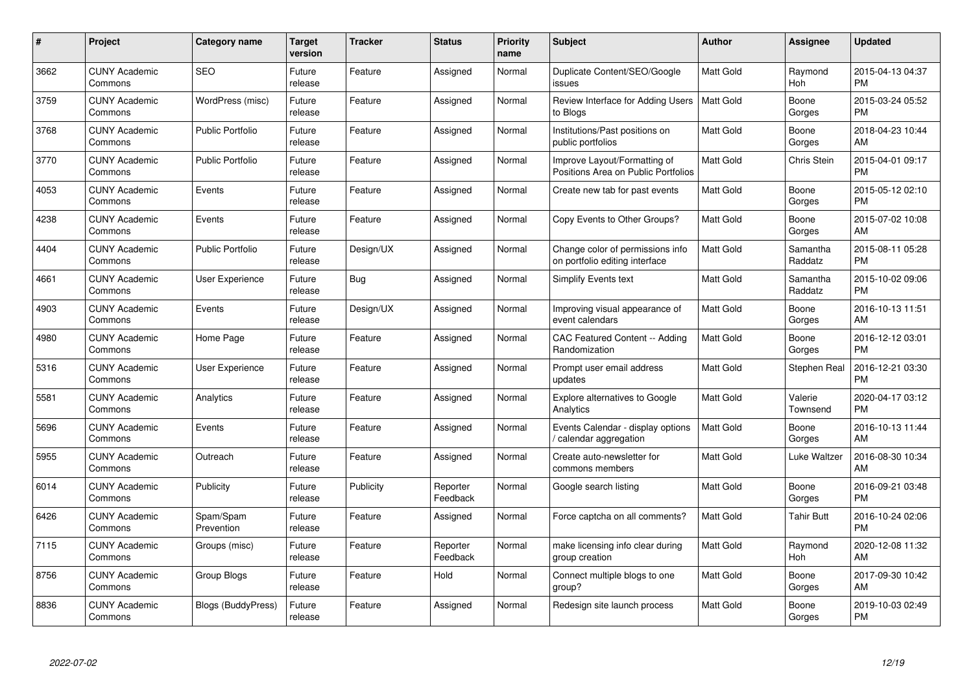| #    | Project                         | <b>Category name</b>    | <b>Target</b><br>version | <b>Tracker</b> | <b>Status</b>        | <b>Priority</b><br>name | <b>Subject</b>                                                      | <b>Author</b>    | Assignee            | <b>Updated</b>                |
|------|---------------------------------|-------------------------|--------------------------|----------------|----------------------|-------------------------|---------------------------------------------------------------------|------------------|---------------------|-------------------------------|
| 3662 | <b>CUNY Academic</b><br>Commons | <b>SEO</b>              | Future<br>release        | Feature        | Assigned             | Normal                  | Duplicate Content/SEO/Google<br>issues                              | <b>Matt Gold</b> | Raymond<br>Hoh      | 2015-04-13 04:37<br><b>PM</b> |
| 3759 | <b>CUNY Academic</b><br>Commons | WordPress (misc)        | Future<br>release        | Feature        | Assigned             | Normal                  | Review Interface for Adding Users<br>to Blogs                       | Matt Gold        | Boone<br>Gorges     | 2015-03-24 05:52<br><b>PM</b> |
| 3768 | <b>CUNY Academic</b><br>Commons | <b>Public Portfolio</b> | Future<br>release        | Feature        | Assigned             | Normal                  | Institutions/Past positions on<br>public portfolios                 | <b>Matt Gold</b> | Boone<br>Gorges     | 2018-04-23 10:44<br>AM        |
| 3770 | <b>CUNY Academic</b><br>Commons | <b>Public Portfolio</b> | Future<br>release        | Feature        | Assigned             | Normal                  | Improve Layout/Formatting of<br>Positions Area on Public Portfolios | Matt Gold        | Chris Stein         | 2015-04-01 09:17<br><b>PM</b> |
| 4053 | <b>CUNY Academic</b><br>Commons | Events                  | Future<br>release        | Feature        | Assigned             | Normal                  | Create new tab for past events                                      | <b>Matt Gold</b> | Boone<br>Gorges     | 2015-05-12 02:10<br><b>PM</b> |
| 4238 | <b>CUNY Academic</b><br>Commons | Events                  | Future<br>release        | Feature        | Assigned             | Normal                  | Copy Events to Other Groups?                                        | <b>Matt Gold</b> | Boone<br>Gorges     | 2015-07-02 10:08<br>AM        |
| 4404 | <b>CUNY Academic</b><br>Commons | <b>Public Portfolio</b> | Future<br>release        | Design/UX      | Assigned             | Normal                  | Change color of permissions info<br>on portfolio editing interface  | <b>Matt Gold</b> | Samantha<br>Raddatz | 2015-08-11 05:28<br><b>PM</b> |
| 4661 | <b>CUNY Academic</b><br>Commons | User Experience         | Future<br>release        | Bug            | Assigned             | Normal                  | <b>Simplify Events text</b>                                         | <b>Matt Gold</b> | Samantha<br>Raddatz | 2015-10-02 09:06<br><b>PM</b> |
| 4903 | <b>CUNY Academic</b><br>Commons | Events                  | Future<br>release        | Design/UX      | Assigned             | Normal                  | Improving visual appearance of<br>event calendars                   | <b>Matt Gold</b> | Boone<br>Gorges     | 2016-10-13 11:51<br>AM        |
| 4980 | <b>CUNY Academic</b><br>Commons | Home Page               | Future<br>release        | Feature        | Assigned             | Normal                  | <b>CAC Featured Content -- Adding</b><br>Randomization              | Matt Gold        | Boone<br>Gorges     | 2016-12-12 03:01<br><b>PM</b> |
| 5316 | <b>CUNY Academic</b><br>Commons | User Experience         | Future<br>release        | Feature        | Assigned             | Normal                  | Prompt user email address<br>updates                                | Matt Gold        | Stephen Real        | 2016-12-21 03:30<br><b>PM</b> |
| 5581 | <b>CUNY Academic</b><br>Commons | Analytics               | Future<br>release        | Feature        | Assigned             | Normal                  | <b>Explore alternatives to Google</b><br>Analytics                  | Matt Gold        | Valerie<br>Townsend | 2020-04-17 03:12<br><b>PM</b> |
| 5696 | <b>CUNY Academic</b><br>Commons | Events                  | Future<br>release        | Feature        | Assigned             | Normal                  | Events Calendar - display options<br>calendar aggregation           | <b>Matt Gold</b> | Boone<br>Gorges     | 2016-10-13 11:44<br>AM        |
| 5955 | <b>CUNY Academic</b><br>Commons | Outreach                | Future<br>release        | Feature        | Assigned             | Normal                  | Create auto-newsletter for<br>commons members                       | Matt Gold        | Luke Waltzer        | 2016-08-30 10:34<br>AM        |
| 6014 | <b>CUNY Academic</b><br>Commons | <b>Publicity</b>        | Future<br>release        | Publicity      | Reporter<br>Feedback | Normal                  | Google search listing                                               | <b>Matt Gold</b> | Boone<br>Gorges     | 2016-09-21 03:48<br><b>PM</b> |
| 6426 | <b>CUNY Academic</b><br>Commons | Spam/Spam<br>Prevention | Future<br>release        | Feature        | Assigned             | Normal                  | Force captcha on all comments?                                      | Matt Gold        | Tahir Butt          | 2016-10-24 02:06<br><b>PM</b> |
| 7115 | <b>CUNY Academic</b><br>Commons | Groups (misc)           | Future<br>release        | Feature        | Reporter<br>Feedback | Normal                  | make licensing info clear during<br>group creation                  | <b>Matt Gold</b> | Raymond<br>Hoh      | 2020-12-08 11:32<br>AM        |
| 8756 | <b>CUNY Academic</b><br>Commons | Group Blogs             | Future<br>release        | Feature        | Hold                 | Normal                  | Connect multiple blogs to one<br>group?                             | Matt Gold        | Boone<br>Gorges     | 2017-09-30 10:42<br>AM        |
| 8836 | CUNY Academic<br>Commons        | Blogs (BuddyPress)      | Future<br>release        | Feature        | Assigned             | Normal                  | Redesign site launch process                                        | <b>Matt Gold</b> | Boone<br>Gorges     | 2019-10-03 02:49<br><b>PM</b> |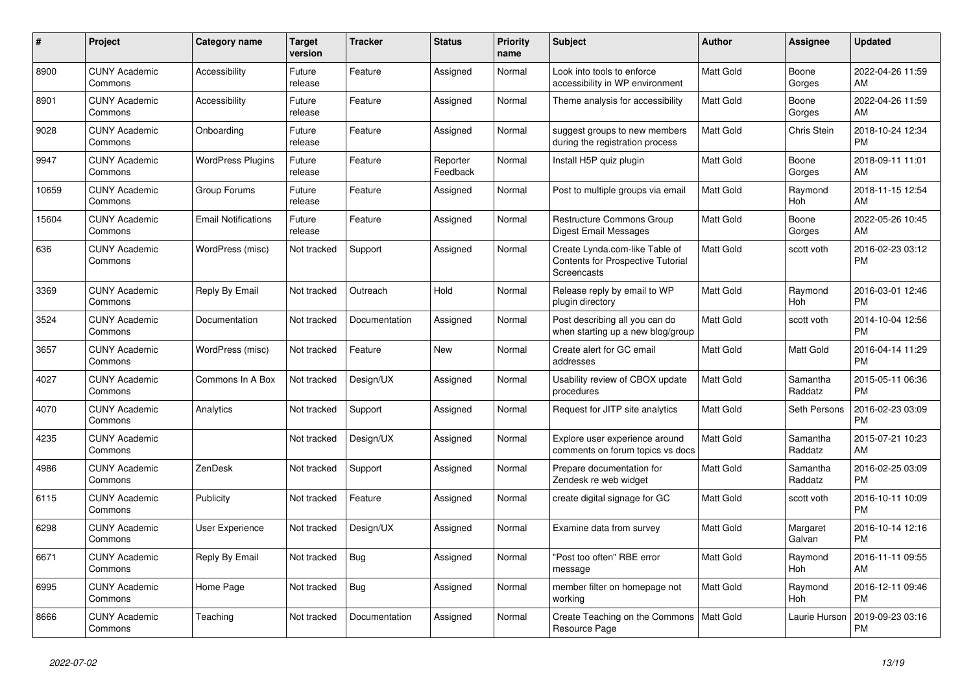| #     | <b>Project</b>                  | <b>Category name</b>       | <b>Target</b><br>version | <b>Tracker</b> | <b>Status</b>        | Priority<br>name | <b>Subject</b>                                                                            | <b>Author</b>    | Assignee            | <b>Updated</b>                |
|-------|---------------------------------|----------------------------|--------------------------|----------------|----------------------|------------------|-------------------------------------------------------------------------------------------|------------------|---------------------|-------------------------------|
| 8900  | <b>CUNY Academic</b><br>Commons | Accessibility              | Future<br>release        | Feature        | Assigned             | Normal           | Look into tools to enforce<br>accessibility in WP environment                             | <b>Matt Gold</b> | Boone<br>Gorges     | 2022-04-26 11:59<br>AM        |
| 8901  | <b>CUNY Academic</b><br>Commons | Accessibility              | Future<br>release        | Feature        | Assigned             | Normal           | Theme analysis for accessibility                                                          | Matt Gold        | Boone<br>Gorges     | 2022-04-26 11:59<br>AM        |
| 9028  | <b>CUNY Academic</b><br>Commons | Onboarding                 | Future<br>release        | Feature        | Assigned             | Normal           | suggest groups to new members<br>during the registration process                          | Matt Gold        | Chris Stein         | 2018-10-24 12:34<br><b>PM</b> |
| 9947  | <b>CUNY Academic</b><br>Commons | <b>WordPress Plugins</b>   | Future<br>release        | Feature        | Reporter<br>Feedback | Normal           | Install H5P quiz plugin                                                                   | Matt Gold        | Boone<br>Gorges     | 2018-09-11 11:01<br>AM        |
| 10659 | <b>CUNY Academic</b><br>Commons | Group Forums               | Future<br>release        | Feature        | Assigned             | Normal           | Post to multiple groups via email                                                         | Matt Gold        | Raymond<br>Hoh      | 2018-11-15 12:54<br>AM        |
| 15604 | <b>CUNY Academic</b><br>Commons | <b>Email Notifications</b> | Future<br>release        | Feature        | Assigned             | Normal           | Restructure Commons Group<br>Digest Email Messages                                        | Matt Gold        | Boone<br>Gorges     | 2022-05-26 10:45<br>AM        |
| 636   | <b>CUNY Academic</b><br>Commons | WordPress (misc)           | Not tracked              | Support        | Assigned             | Normal           | Create Lynda.com-like Table of<br><b>Contents for Prospective Tutorial</b><br>Screencasts | <b>Matt Gold</b> | scott voth          | 2016-02-23 03:12<br><b>PM</b> |
| 3369  | <b>CUNY Academic</b><br>Commons | Reply By Email             | Not tracked              | Outreach       | Hold                 | Normal           | Release reply by email to WP<br>plugin directory                                          | Matt Gold        | Raymond<br>Hoh      | 2016-03-01 12:46<br><b>PM</b> |
| 3524  | <b>CUNY Academic</b><br>Commons | Documentation              | Not tracked              | Documentation  | Assigned             | Normal           | Post describing all you can do<br>when starting up a new blog/group                       | <b>Matt Gold</b> | scott voth          | 2014-10-04 12:56<br><b>PM</b> |
| 3657  | <b>CUNY Academic</b><br>Commons | WordPress (misc)           | Not tracked              | Feature        | <b>New</b>           | Normal           | Create alert for GC email<br>addresses                                                    | <b>Matt Gold</b> | Matt Gold           | 2016-04-14 11:29<br><b>PM</b> |
| 4027  | <b>CUNY Academic</b><br>Commons | Commons In A Box           | Not tracked              | Design/UX      | Assigned             | Normal           | Usability review of CBOX update<br>procedures                                             | Matt Gold        | Samantha<br>Raddatz | 2015-05-11 06:36<br><b>PM</b> |
| 4070  | <b>CUNY Academic</b><br>Commons | Analytics                  | Not tracked              | Support        | Assigned             | Normal           | Request for JITP site analytics                                                           | <b>Matt Gold</b> | Seth Persons        | 2016-02-23 03:09<br><b>PM</b> |
| 4235  | <b>CUNY Academic</b><br>Commons |                            | Not tracked              | Design/UX      | Assigned             | Normal           | Explore user experience around<br>comments on forum topics vs docs                        | <b>Matt Gold</b> | Samantha<br>Raddatz | 2015-07-21 10:23<br>AM        |
| 4986  | <b>CUNY Academic</b><br>Commons | ZenDesk                    | Not tracked              | Support        | Assigned             | Normal           | Prepare documentation for<br>Zendesk re web widget                                        | Matt Gold        | Samantha<br>Raddatz | 2016-02-25 03:09<br><b>PM</b> |
| 6115  | <b>CUNY Academic</b><br>Commons | Publicity                  | Not tracked              | Feature        | Assigned             | Normal           | create digital signage for GC                                                             | Matt Gold        | scott voth          | 2016-10-11 10:09<br><b>PM</b> |
| 6298  | <b>CUNY Academic</b><br>Commons | <b>User Experience</b>     | Not tracked              | Design/UX      | Assigned             | Normal           | Examine data from survey                                                                  | <b>Matt Gold</b> | Margaret<br>Galvan  | 2016-10-14 12:16<br><b>PM</b> |
| 6671  | <b>CUNY Academic</b><br>Commons | Reply By Email             | Not tracked              | <b>Bug</b>     | Assigned             | Normal           | "Post too often" RBE error<br>message                                                     | <b>Matt Gold</b> | Raymond<br>Hoh      | 2016-11-11 09:55<br>AM        |
| 6995  | <b>CUNY Academic</b><br>Commons | Home Page                  | Not tracked              | <b>Bug</b>     | Assigned             | Normal           | member filter on homepage not<br>working                                                  | Matt Gold        | Raymond<br>Hoh      | 2016-12-11 09:46<br><b>PM</b> |
| 8666  | <b>CUNY Academic</b><br>Commons | Teaching                   | Not tracked              | Documentation  | Assigned             | Normal           | Create Teaching on the Commons<br>Resource Page                                           | <b>Matt Gold</b> | Laurie Hurson       | 2019-09-23 03:16<br><b>PM</b> |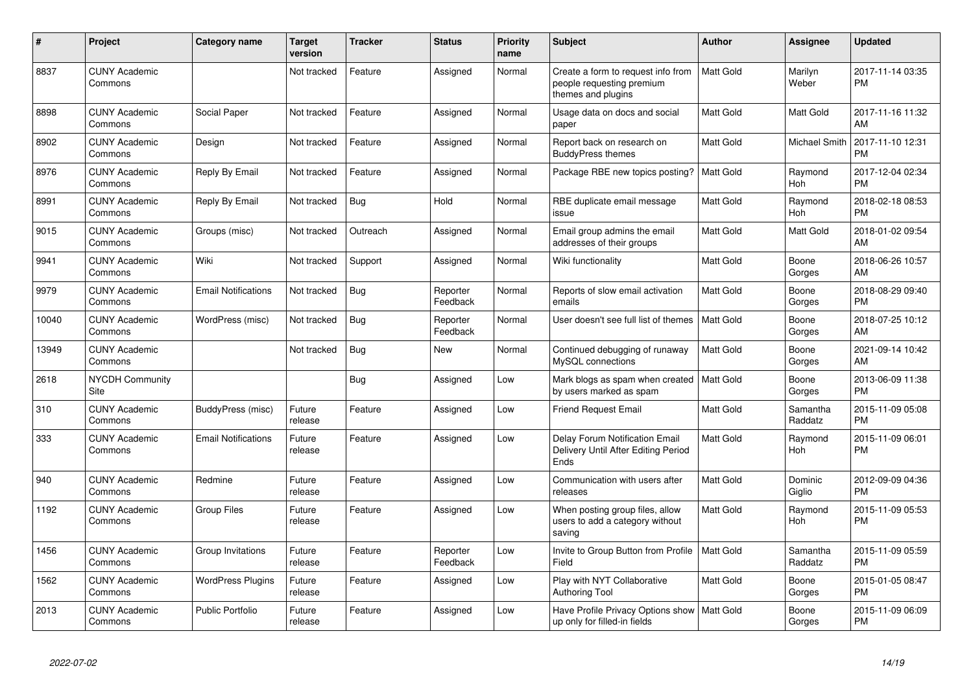| #     | Project                               | Category name              | <b>Target</b><br>version | <b>Tracker</b> | <b>Status</b>        | <b>Priority</b><br>name | <b>Subject</b>                                                                        | Author           | <b>Assignee</b>      | <b>Updated</b>                |
|-------|---------------------------------------|----------------------------|--------------------------|----------------|----------------------|-------------------------|---------------------------------------------------------------------------------------|------------------|----------------------|-------------------------------|
| 8837  | <b>CUNY Academic</b><br>Commons       |                            | Not tracked              | Feature        | Assigned             | Normal                  | Create a form to request info from<br>people requesting premium<br>themes and plugins | <b>Matt Gold</b> | Marilyn<br>Weber     | 2017-11-14 03:35<br><b>PM</b> |
| 8898  | <b>CUNY Academic</b><br>Commons       | Social Paper               | Not tracked              | Feature        | Assigned             | Normal                  | Usage data on docs and social<br>paper                                                | <b>Matt Gold</b> | Matt Gold            | 2017-11-16 11:32<br>AM        |
| 8902  | <b>CUNY Academic</b><br>Commons       | Design                     | Not tracked              | Feature        | Assigned             | Normal                  | Report back on research on<br><b>BuddyPress themes</b>                                | Matt Gold        | <b>Michael Smith</b> | 2017-11-10 12:31<br><b>PM</b> |
| 8976  | <b>CUNY Academic</b><br>Commons       | Reply By Email             | Not tracked              | Feature        | Assigned             | Normal                  | Package RBE new topics posting?                                                       | Matt Gold        | Raymond<br>Hoh       | 2017-12-04 02:34<br><b>PM</b> |
| 8991  | <b>CUNY Academic</b><br>Commons       | Reply By Email             | Not tracked              | <b>Bug</b>     | Hold                 | Normal                  | RBE duplicate email message<br>issue                                                  | <b>Matt Gold</b> | Raymond<br>Hoh       | 2018-02-18 08:53<br><b>PM</b> |
| 9015  | <b>CUNY Academic</b><br>Commons       | Groups (misc)              | Not tracked              | Outreach       | Assigned             | Normal                  | Email group admins the email<br>addresses of their groups                             | <b>Matt Gold</b> | <b>Matt Gold</b>     | 2018-01-02 09:54<br>AM        |
| 9941  | <b>CUNY Academic</b><br>Commons       | Wiki                       | Not tracked              | Support        | Assigned             | Normal                  | Wiki functionality                                                                    | <b>Matt Gold</b> | Boone<br>Gorges      | 2018-06-26 10:57<br>AM        |
| 9979  | <b>CUNY Academic</b><br>Commons       | <b>Email Notifications</b> | Not tracked              | <b>Bug</b>     | Reporter<br>Feedback | Normal                  | Reports of slow email activation<br>emails                                            | Matt Gold        | Boone<br>Gorges      | 2018-08-29 09:40<br><b>PM</b> |
| 10040 | <b>CUNY Academic</b><br>Commons       | WordPress (misc)           | Not tracked              | <b>Bug</b>     | Reporter<br>Feedback | Normal                  | User doesn't see full list of themes                                                  | <b>Matt Gold</b> | Boone<br>Gorges      | 2018-07-25 10:12<br>AM        |
| 13949 | <b>CUNY Academic</b><br>Commons       |                            | Not tracked              | Bug            | New                  | Normal                  | Continued debugging of runaway<br>MySQL connections                                   | <b>Matt Gold</b> | Boone<br>Gorges      | 2021-09-14 10:42<br>AM        |
| 2618  | <b>NYCDH Community</b><br><b>Site</b> |                            |                          | Bug            | Assigned             | Low                     | Mark blogs as spam when created<br>by users marked as spam                            | <b>Matt Gold</b> | Boone<br>Gorges      | 2013-06-09 11:38<br><b>PM</b> |
| 310   | <b>CUNY Academic</b><br>Commons       | BuddyPress (misc)          | Future<br>release        | Feature        | Assigned             | Low                     | <b>Friend Request Email</b>                                                           | <b>Matt Gold</b> | Samantha<br>Raddatz  | 2015-11-09 05:08<br><b>PM</b> |
| 333   | <b>CUNY Academic</b><br>Commons       | <b>Email Notifications</b> | Future<br>release        | Feature        | Assigned             | Low                     | <b>Delay Forum Notification Email</b><br>Delivery Until After Editing Period<br>Ends  | <b>Matt Gold</b> | Raymond<br>Hoh       | 2015-11-09 06:01<br><b>PM</b> |
| 940   | <b>CUNY Academic</b><br>Commons       | Redmine                    | Future<br>release        | Feature        | Assigned             | Low                     | Communication with users after<br>releases                                            | <b>Matt Gold</b> | Dominic<br>Giglio    | 2012-09-09 04:36<br><b>PM</b> |
| 1192  | <b>CUNY Academic</b><br>Commons       | <b>Group Files</b>         | Future<br>release        | Feature        | Assigned             | Low                     | When posting group files, allow<br>users to add a category without<br>saving          | Matt Gold        | Raymond<br>Hoh       | 2015-11-09 05:53<br><b>PM</b> |
| 1456  | <b>CUNY Academic</b><br>Commons       | Group Invitations          | Future<br>release        | Feature        | Reporter<br>Feedback | Low                     | Invite to Group Button from Profile<br>Field                                          | <b>Matt Gold</b> | Samantha<br>Raddatz  | 2015-11-09 05:59<br><b>PM</b> |
| 1562  | <b>CUNY Academic</b><br>Commons       | <b>WordPress Plugins</b>   | Future<br>release        | Feature        | Assigned             | Low                     | Play with NYT Collaborative<br>Authoring Tool                                         | <b>Matt Gold</b> | Boone<br>Gorges      | 2015-01-05 08:47<br><b>PM</b> |
| 2013  | <b>CUNY Academic</b><br>Commons       | <b>Public Portfolio</b>    | Future<br>release        | Feature        | Assigned             | Low                     | Have Profile Privacy Options show<br>up only for filled-in fields                     | <b>Matt Gold</b> | Boone<br>Gorges      | 2015-11-09 06:09<br>PM        |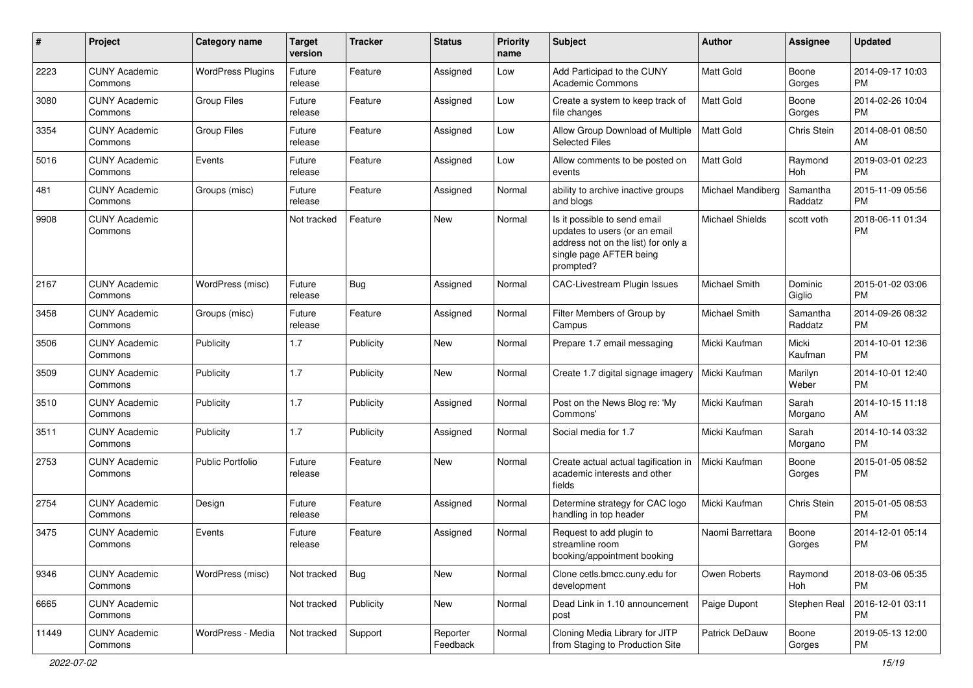| #     | Project                         | Category name            | <b>Target</b><br>version | <b>Tracker</b> | <b>Status</b>        | <b>Priority</b><br>name | Subject                                                                                                                                      | Author                 | <b>Assignee</b>     | <b>Updated</b>                |
|-------|---------------------------------|--------------------------|--------------------------|----------------|----------------------|-------------------------|----------------------------------------------------------------------------------------------------------------------------------------------|------------------------|---------------------|-------------------------------|
| 2223  | <b>CUNY Academic</b><br>Commons | <b>WordPress Plugins</b> | Future<br>release        | Feature        | Assigned             | Low                     | Add Participad to the CUNY<br><b>Academic Commons</b>                                                                                        | <b>Matt Gold</b>       | Boone<br>Gorges     | 2014-09-17 10:03<br><b>PM</b> |
| 3080  | <b>CUNY Academic</b><br>Commons | <b>Group Files</b>       | Future<br>release        | Feature        | Assigned             | Low                     | Create a system to keep track of<br>file changes                                                                                             | Matt Gold              | Boone<br>Gorges     | 2014-02-26 10:04<br><b>PM</b> |
| 3354  | <b>CUNY Academic</b><br>Commons | <b>Group Files</b>       | Future<br>release        | Feature        | Assigned             | Low                     | Allow Group Download of Multiple<br><b>Selected Files</b>                                                                                    | <b>Matt Gold</b>       | Chris Stein         | 2014-08-01 08:50<br>AM        |
| 5016  | <b>CUNY Academic</b><br>Commons | Events                   | Future<br>release        | Feature        | Assigned             | Low                     | Allow comments to be posted on<br>events                                                                                                     | Matt Gold              | Raymond<br>Hoh      | 2019-03-01 02:23<br><b>PM</b> |
| 481   | <b>CUNY Academic</b><br>Commons | Groups (misc)            | Future<br>release        | Feature        | Assigned             | Normal                  | ability to archive inactive groups<br>and blogs                                                                                              | Michael Mandiberg      | Samantha<br>Raddatz | 2015-11-09 05:56<br><b>PM</b> |
| 9908  | <b>CUNY Academic</b><br>Commons |                          | Not tracked              | Feature        | New                  | Normal                  | Is it possible to send email<br>updates to users (or an email<br>address not on the list) for only a<br>single page AFTER being<br>prompted? | <b>Michael Shields</b> | scott voth          | 2018-06-11 01:34<br><b>PM</b> |
| 2167  | <b>CUNY Academic</b><br>Commons | WordPress (misc)         | Future<br>release        | Bug            | Assigned             | Normal                  | CAC-Livestream Plugin Issues                                                                                                                 | <b>Michael Smith</b>   | Dominic<br>Giglio   | 2015-01-02 03:06<br><b>PM</b> |
| 3458  | <b>CUNY Academic</b><br>Commons | Groups (misc)            | Future<br>release        | Feature        | Assigned             | Normal                  | Filter Members of Group by<br>Campus                                                                                                         | <b>Michael Smith</b>   | Samantha<br>Raddatz | 2014-09-26 08:32<br><b>PM</b> |
| 3506  | <b>CUNY Academic</b><br>Commons | Publicity                | 1.7                      | Publicity      | New                  | Normal                  | Prepare 1.7 email messaging                                                                                                                  | Micki Kaufman          | Micki<br>Kaufman    | 2014-10-01 12:36<br><b>PM</b> |
| 3509  | <b>CUNY Academic</b><br>Commons | Publicity                | 1.7                      | Publicity      | New                  | Normal                  | Create 1.7 digital signage imagery                                                                                                           | Micki Kaufman          | Marilyn<br>Weber    | 2014-10-01 12:40<br><b>PM</b> |
| 3510  | <b>CUNY Academic</b><br>Commons | Publicity                | 1.7                      | Publicity      | Assigned             | Normal                  | Post on the News Blog re: 'My<br>Commons'                                                                                                    | Micki Kaufman          | Sarah<br>Morgano    | 2014-10-15 11:18<br>AM        |
| 3511  | <b>CUNY Academic</b><br>Commons | Publicity                | 1.7                      | Publicity      | Assigned             | Normal                  | Social media for 1.7                                                                                                                         | Micki Kaufman          | Sarah<br>Morgano    | 2014-10-14 03:32<br><b>PM</b> |
| 2753  | <b>CUNY Academic</b><br>Commons | <b>Public Portfolio</b>  | Future<br>release        | Feature        | New                  | Normal                  | Create actual actual tagification in<br>academic interests and other<br>fields                                                               | Micki Kaufman          | Boone<br>Gorges     | 2015-01-05 08:52<br><b>PM</b> |
| 2754  | <b>CUNY Academic</b><br>Commons | Design                   | Future<br>release        | Feature        | Assigned             | Normal                  | Determine strategy for CAC logo<br>handling in top header                                                                                    | Micki Kaufman          | Chris Stein         | 2015-01-05 08:53<br><b>PM</b> |
| 3475  | <b>CUNY Academic</b><br>Commons | Events                   | Future<br>release        | Feature        | Assigned             | Normal                  | Request to add plugin to<br>streamline room<br>booking/appointment booking                                                                   | Naomi Barrettara       | Boone<br>Gorges     | 2014-12-01 05:14<br><b>PM</b> |
| 9346  | <b>CUNY Academic</b><br>Commons | WordPress (misc)         | Not tracked              | Bug            | New                  | Normal                  | Clone cetls.bmcc.cuny.edu for<br>development                                                                                                 | Owen Roberts           | Raymond<br>Hoh      | 2018-03-06 05:35<br><b>PM</b> |
| 6665  | <b>CUNY Academic</b><br>Commons |                          | Not tracked              | Publicity      | New                  | Normal                  | Dead Link in 1.10 announcement<br>post                                                                                                       | Paige Dupont           | Stephen Real        | 2016-12-01 03:11<br><b>PM</b> |
| 11449 | <b>CUNY Academic</b><br>Commons | WordPress - Media        | Not tracked              | Support        | Reporter<br>Feedback | Normal                  | Cloning Media Library for JITP<br>from Staging to Production Site                                                                            | Patrick DeDauw         | Boone<br>Gorges     | 2019-05-13 12:00<br>PM        |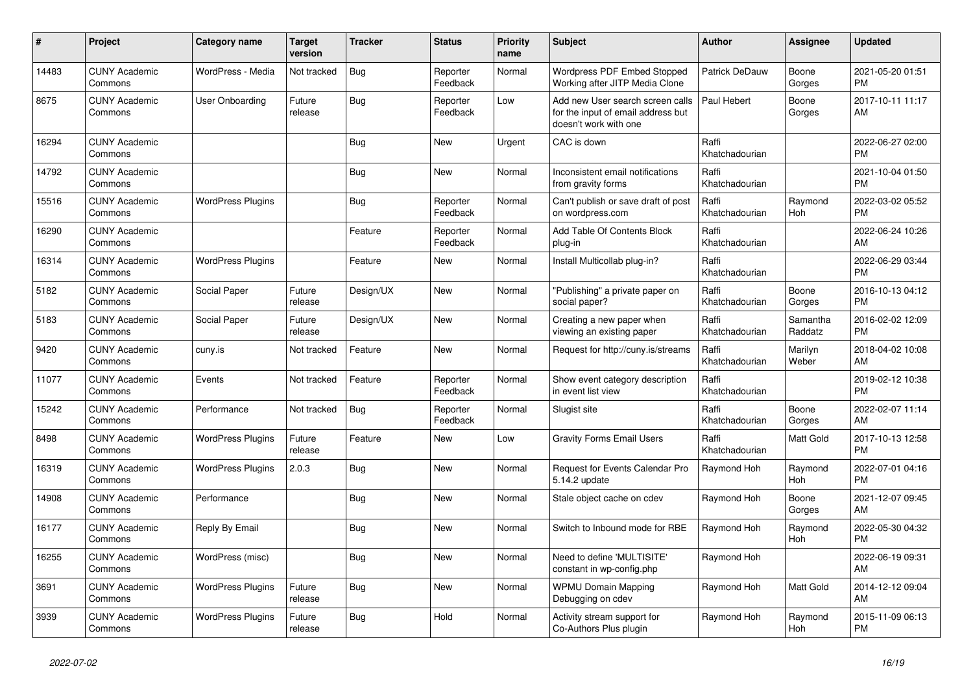| #     | Project                         | Category name            | <b>Target</b><br>version | <b>Tracker</b> | <b>Status</b>        | <b>Priority</b><br>name | <b>Subject</b>                                                                                  | <b>Author</b>           | Assignee            | <b>Updated</b>                |
|-------|---------------------------------|--------------------------|--------------------------|----------------|----------------------|-------------------------|-------------------------------------------------------------------------------------------------|-------------------------|---------------------|-------------------------------|
| 14483 | <b>CUNY Academic</b><br>Commons | WordPress - Media        | Not tracked              | Bug            | Reporter<br>Feedback | Normal                  | Wordpress PDF Embed Stopped<br>Working after JITP Media Clone                                   | Patrick DeDauw          | Boone<br>Gorges     | 2021-05-20 01:51<br><b>PM</b> |
| 8675  | <b>CUNY Academic</b><br>Commons | User Onboarding          | Future<br>release        | Bug            | Reporter<br>Feedback | Low                     | Add new User search screen calls<br>for the input of email address but<br>doesn't work with one | Paul Hebert             | Boone<br>Gorges     | 2017-10-11 11:17<br>AM        |
| 16294 | <b>CUNY Academic</b><br>Commons |                          |                          | Bug            | <b>New</b>           | Urgent                  | CAC is down                                                                                     | Raffi<br>Khatchadourian |                     | 2022-06-27 02:00<br><b>PM</b> |
| 14792 | <b>CUNY Academic</b><br>Commons |                          |                          | <b>Bug</b>     | New                  | Normal                  | Inconsistent email notifications<br>from gravity forms                                          | Raffi<br>Khatchadourian |                     | 2021-10-04 01:50<br><b>PM</b> |
| 15516 | <b>CUNY Academic</b><br>Commons | <b>WordPress Plugins</b> |                          | Bug            | Reporter<br>Feedback | Normal                  | Can't publish or save draft of post<br>on wordpress.com                                         | Raffi<br>Khatchadourian | Raymond<br>Hoh      | 2022-03-02 05:52<br><b>PM</b> |
| 16290 | <b>CUNY Academic</b><br>Commons |                          |                          | Feature        | Reporter<br>Feedback | Normal                  | Add Table Of Contents Block<br>plug-in                                                          | Raffi<br>Khatchadourian |                     | 2022-06-24 10:26<br>AM        |
| 16314 | <b>CUNY Academic</b><br>Commons | <b>WordPress Plugins</b> |                          | Feature        | <b>New</b>           | Normal                  | Install Multicollab plug-in?                                                                    | Raffi<br>Khatchadourian |                     | 2022-06-29 03:44<br><b>PM</b> |
| 5182  | <b>CUNY Academic</b><br>Commons | Social Paper             | Future<br>release        | Design/UX      | <b>New</b>           | Normal                  | "Publishing" a private paper on<br>social paper?                                                | Raffi<br>Khatchadourian | Boone<br>Gorges     | 2016-10-13 04:12<br><b>PM</b> |
| 5183  | <b>CUNY Academic</b><br>Commons | Social Paper             | Future<br>release        | Design/UX      | New                  | Normal                  | Creating a new paper when<br>viewing an existing paper                                          | Raffi<br>Khatchadourian | Samantha<br>Raddatz | 2016-02-02 12:09<br><b>PM</b> |
| 9420  | <b>CUNY Academic</b><br>Commons | cuny.is                  | Not tracked              | Feature        | <b>New</b>           | Normal                  | Request for http://cuny.is/streams                                                              | Raffi<br>Khatchadourian | Marilyn<br>Weber    | 2018-04-02 10:08<br>AM        |
| 11077 | <b>CUNY Academic</b><br>Commons | Events                   | Not tracked              | Feature        | Reporter<br>Feedback | Normal                  | Show event category description<br>in event list view                                           | Raffi<br>Khatchadourian |                     | 2019-02-12 10:38<br><b>PM</b> |
| 15242 | <b>CUNY Academic</b><br>Commons | Performance              | Not tracked              | Bug            | Reporter<br>Feedback | Normal                  | Slugist site                                                                                    | Raffi<br>Khatchadourian | Boone<br>Gorges     | 2022-02-07 11:14<br>AM        |
| 8498  | <b>CUNY Academic</b><br>Commons | <b>WordPress Plugins</b> | Future<br>release        | Feature        | <b>New</b>           | Low                     | <b>Gravity Forms Email Users</b>                                                                | Raffi<br>Khatchadourian | Matt Gold           | 2017-10-13 12:58<br><b>PM</b> |
| 16319 | <b>CUNY Academic</b><br>Commons | <b>WordPress Plugins</b> | 2.0.3                    | Bug            | <b>New</b>           | Normal                  | Request for Events Calendar Pro<br>5.14.2 update                                                | Raymond Hoh             | Raymond<br>Hoh      | 2022-07-01 04:16<br><b>PM</b> |
| 14908 | <b>CUNY Academic</b><br>Commons | Performance              |                          | <b>Bug</b>     | <b>New</b>           | Normal                  | Stale object cache on cdev                                                                      | Raymond Hoh             | Boone<br>Gorges     | 2021-12-07 09:45<br>AM        |
| 16177 | <b>CUNY Academic</b><br>Commons | Reply By Email           |                          | Bug            | <b>New</b>           | Normal                  | Switch to Inbound mode for RBE                                                                  | Raymond Hoh             | Raymond<br>Hoh      | 2022-05-30 04:32<br><b>PM</b> |
| 16255 | <b>CUNY Academic</b><br>Commons | WordPress (misc)         |                          | Bug            | <b>New</b>           | Normal                  | Need to define 'MULTISITE'<br>constant in wp-config.php                                         | Raymond Hoh             |                     | 2022-06-19 09:31<br>AM        |
| 3691  | <b>CUNY Academic</b><br>Commons | <b>WordPress Plugins</b> | Future<br>release        | Bug            | <b>New</b>           | Normal                  | <b>WPMU Domain Mapping</b><br>Debugging on cdev                                                 | Raymond Hoh             | Matt Gold           | 2014-12-12 09:04<br>AM        |
| 3939  | <b>CUNY Academic</b><br>Commons | <b>WordPress Plugins</b> | Future<br>release        | <b>Bug</b>     | Hold                 | Normal                  | Activity stream support for<br>Co-Authors Plus plugin                                           | Raymond Hoh             | Raymond<br>Hoh      | 2015-11-09 06:13<br><b>PM</b> |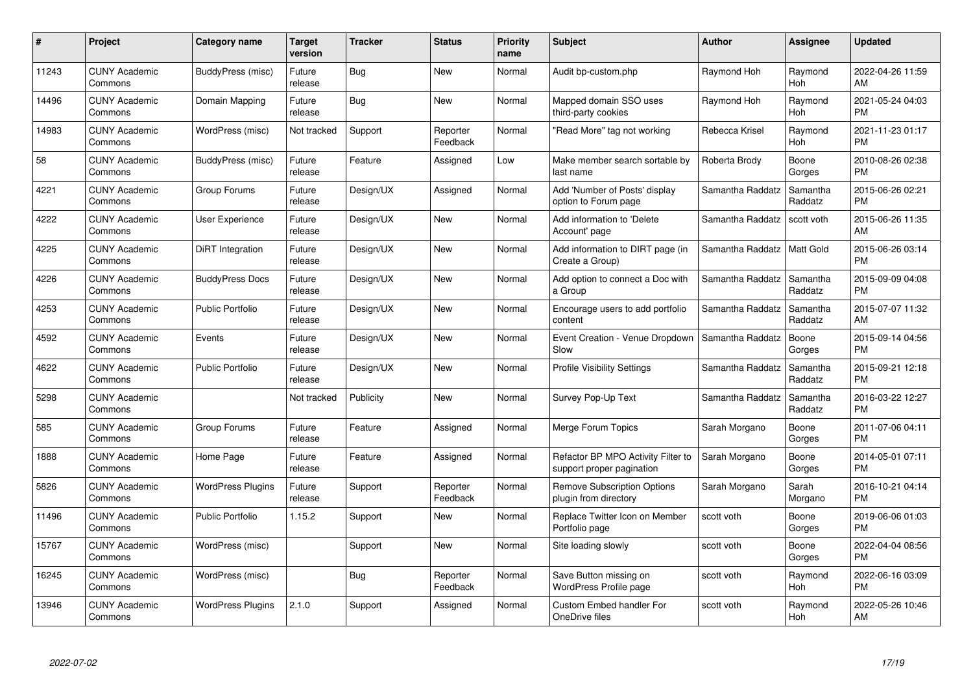| #     | <b>Project</b>                  | Category name            | Target<br>version | <b>Tracker</b> | <b>Status</b>        | <b>Priority</b><br>name | <b>Subject</b>                                                  | <b>Author</b>    | Assignee            | <b>Updated</b>                |
|-------|---------------------------------|--------------------------|-------------------|----------------|----------------------|-------------------------|-----------------------------------------------------------------|------------------|---------------------|-------------------------------|
| 11243 | <b>CUNY Academic</b><br>Commons | BuddyPress (misc)        | Future<br>release | <b>Bug</b>     | <b>New</b>           | Normal                  | Audit bp-custom.php                                             | Raymond Hoh      | Raymond<br>Hoh      | 2022-04-26 11:59<br>AM        |
| 14496 | <b>CUNY Academic</b><br>Commons | Domain Mapping           | Future<br>release | Bug            | New                  | Normal                  | Mapped domain SSO uses<br>third-party cookies                   | Raymond Hoh      | Raymond<br>Hoh      | 2021-05-24 04:03<br><b>PM</b> |
| 14983 | <b>CUNY Academic</b><br>Commons | WordPress (misc)         | Not tracked       | Support        | Reporter<br>Feedback | Normal                  | "Read More" tag not working                                     | Rebecca Krisel   | Raymond<br>Hoh      | 2021-11-23 01:17<br><b>PM</b> |
| 58    | <b>CUNY Academic</b><br>Commons | BuddyPress (misc)        | Future<br>release | Feature        | Assigned             | Low                     | Make member search sortable by<br>last name                     | Roberta Brody    | Boone<br>Gorges     | 2010-08-26 02:38<br><b>PM</b> |
| 4221  | <b>CUNY Academic</b><br>Commons | Group Forums             | Future<br>release | Design/UX      | Assigned             | Normal                  | Add 'Number of Posts' display<br>option to Forum page           | Samantha Raddatz | Samantha<br>Raddatz | 2015-06-26 02:21<br><b>PM</b> |
| 4222  | <b>CUNY Academic</b><br>Commons | User Experience          | Future<br>release | Design/UX      | <b>New</b>           | Normal                  | Add information to 'Delete<br>Account' page                     | Samantha Raddatz | scott voth          | 2015-06-26 11:35<br>AM        |
| 4225  | <b>CUNY Academic</b><br>Commons | DiRT Integration         | Future<br>release | Design/UX      | <b>New</b>           | Normal                  | Add information to DIRT page (in<br>Create a Group)             | Samantha Raddatz | Matt Gold           | 2015-06-26 03:14<br><b>PM</b> |
| 4226  | <b>CUNY Academic</b><br>Commons | <b>BuddyPress Docs</b>   | Future<br>release | Design/UX      | <b>New</b>           | Normal                  | Add option to connect a Doc with<br>a Group                     | Samantha Raddatz | Samantha<br>Raddatz | 2015-09-09 04:08<br><b>PM</b> |
| 4253  | <b>CUNY Academic</b><br>Commons | <b>Public Portfolio</b>  | Future<br>release | Design/UX      | <b>New</b>           | Normal                  | Encourage users to add portfolio<br>content                     | Samantha Raddatz | Samantha<br>Raddatz | 2015-07-07 11:32<br>AM        |
| 4592  | <b>CUNY Academic</b><br>Commons | Events                   | Future<br>release | Design/UX      | <b>New</b>           | Normal                  | Event Creation - Venue Dropdown<br>Slow                         | Samantha Raddatz | Boone<br>Gorges     | 2015-09-14 04:56<br><b>PM</b> |
| 4622  | <b>CUNY Academic</b><br>Commons | <b>Public Portfolio</b>  | Future<br>release | Design/UX      | <b>New</b>           | Normal                  | <b>Profile Visibility Settings</b>                              | Samantha Raddatz | Samantha<br>Raddatz | 2015-09-21 12:18<br><b>PM</b> |
| 5298  | <b>CUNY Academic</b><br>Commons |                          | Not tracked       | Publicity      | <b>New</b>           | Normal                  | Survey Pop-Up Text                                              | Samantha Raddatz | Samantha<br>Raddatz | 2016-03-22 12:27<br><b>PM</b> |
| 585   | <b>CUNY Academic</b><br>Commons | Group Forums             | Future<br>release | Feature        | Assigned             | Normal                  | Merge Forum Topics                                              | Sarah Morgano    | Boone<br>Gorges     | 2011-07-06 04:11<br><b>PM</b> |
| 1888  | <b>CUNY Academic</b><br>Commons | Home Page                | Future<br>release | Feature        | Assigned             | Normal                  | Refactor BP MPO Activity Filter to<br>support proper pagination | Sarah Morgano    | Boone<br>Gorges     | 2014-05-01 07:11<br>PM.       |
| 5826  | <b>CUNY Academic</b><br>Commons | <b>WordPress Plugins</b> | Future<br>release | Support        | Reporter<br>Feedback | Normal                  | <b>Remove Subscription Options</b><br>plugin from directory     | Sarah Morgano    | Sarah<br>Morgano    | 2016-10-21 04:14<br><b>PM</b> |
| 11496 | <b>CUNY Academic</b><br>Commons | <b>Public Portfolio</b>  | 1.15.2            | Support        | New                  | Normal                  | Replace Twitter Icon on Member<br>Portfolio page                | scott voth       | Boone<br>Gorges     | 2019-06-06 01:03<br><b>PM</b> |
| 15767 | <b>CUNY Academic</b><br>Commons | WordPress (misc)         |                   | Support        | New                  | Normal                  | Site loading slowly                                             | scott voth       | Boone<br>Gorges     | 2022-04-04 08:56<br><b>PM</b> |
| 16245 | <b>CUNY Academic</b><br>Commons | WordPress (misc)         |                   | <b>Bug</b>     | Reporter<br>Feedback | Normal                  | Save Button missing on<br><b>WordPress Profile page</b>         | scott voth       | Raymond<br>Hoh      | 2022-06-16 03:09<br><b>PM</b> |
| 13946 | <b>CUNY Academic</b><br>Commons | <b>WordPress Plugins</b> | 2.1.0             | Support        | Assigned             | Normal                  | <b>Custom Embed handler For</b><br>OneDrive files               | scott voth       | Raymond<br>Hoh      | 2022-05-26 10:46<br>AM        |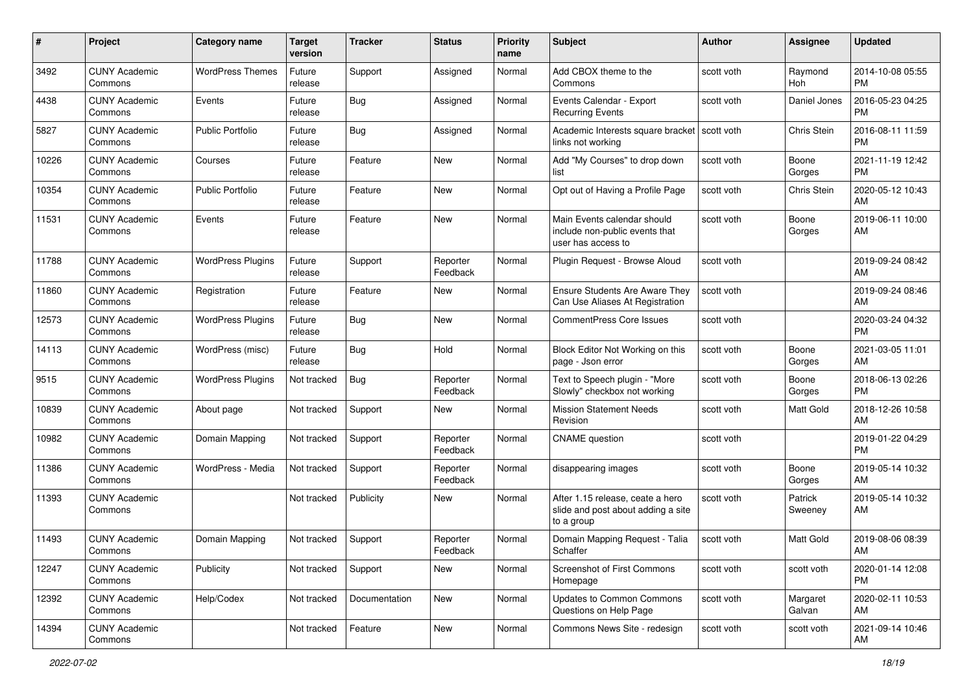| #     | Project                         | <b>Category name</b>     | <b>Target</b><br>version | <b>Tracker</b> | <b>Status</b>        | <b>Priority</b><br>name | Subject                                                                              | Author       | Assignee           | <b>Updated</b>                |
|-------|---------------------------------|--------------------------|--------------------------|----------------|----------------------|-------------------------|--------------------------------------------------------------------------------------|--------------|--------------------|-------------------------------|
| 3492  | <b>CUNY Academic</b><br>Commons | <b>WordPress Themes</b>  | Future<br>release        | Support        | Assigned             | Normal                  | Add CBOX theme to the<br>Commons                                                     | scott voth   | Raymond<br>Hoh     | 2014-10-08 05:55<br><b>PM</b> |
| 4438  | <b>CUNY Academic</b><br>Commons | Events                   | Future<br>release        | Bug            | Assigned             | Normal                  | Events Calendar - Export<br><b>Recurring Events</b>                                  | scott voth   | Daniel Jones       | 2016-05-23 04:25<br><b>PM</b> |
| 5827  | <b>CUNY Academic</b><br>Commons | <b>Public Portfolio</b>  | Future<br>release        | Bug            | Assigned             | Normal                  | Academic Interests square bracket<br>links not working                               | l scott voth | Chris Stein        | 2016-08-11 11:59<br><b>PM</b> |
| 10226 | <b>CUNY Academic</b><br>Commons | Courses                  | Future<br>release        | Feature        | New                  | Normal                  | Add "My Courses" to drop down<br>list                                                | scott voth   | Boone<br>Gorges    | 2021-11-19 12:42<br><b>PM</b> |
| 10354 | <b>CUNY Academic</b><br>Commons | <b>Public Portfolio</b>  | Future<br>release        | Feature        | New                  | Normal                  | Opt out of Having a Profile Page                                                     | scott voth   | Chris Stein        | 2020-05-12 10:43<br>AM        |
| 11531 | <b>CUNY Academic</b><br>Commons | Events                   | Future<br>release        | Feature        | New                  | Normal                  | Main Events calendar should<br>include non-public events that<br>user has access to  | scott voth   | Boone<br>Gorges    | 2019-06-11 10:00<br>AM        |
| 11788 | <b>CUNY Academic</b><br>Commons | <b>WordPress Plugins</b> | Future<br>release        | Support        | Reporter<br>Feedback | Normal                  | Plugin Request - Browse Aloud                                                        | scott voth   |                    | 2019-09-24 08:42<br>AM        |
| 11860 | <b>CUNY Academic</b><br>Commons | Registration             | Future<br>release        | Feature        | New                  | Normal                  | <b>Ensure Students Are Aware They</b><br>Can Use Aliases At Registration             | scott voth   |                    | 2019-09-24 08:46<br>AM        |
| 12573 | <b>CUNY Academic</b><br>Commons | <b>WordPress Plugins</b> | Future<br>release        | Bug            | <b>New</b>           | Normal                  | <b>CommentPress Core Issues</b>                                                      | scott voth   |                    | 2020-03-24 04:32<br><b>PM</b> |
| 14113 | <b>CUNY Academic</b><br>Commons | WordPress (misc)         | Future<br>release        | Bug            | Hold                 | Normal                  | Block Editor Not Working on this<br>page - Json error                                | scott voth   | Boone<br>Gorges    | 2021-03-05 11:01<br>AM        |
| 9515  | <b>CUNY Academic</b><br>Commons | <b>WordPress Plugins</b> | Not tracked              | Bug            | Reporter<br>Feedback | Normal                  | Text to Speech plugin - "More<br>Slowly" checkbox not working                        | scott voth   | Boone<br>Gorges    | 2018-06-13 02:26<br><b>PM</b> |
| 10839 | <b>CUNY Academic</b><br>Commons | About page               | Not tracked              | Support        | New                  | Normal                  | <b>Mission Statement Needs</b><br>Revision                                           | scott voth   | Matt Gold          | 2018-12-26 10:58<br>AM        |
| 10982 | <b>CUNY Academic</b><br>Commons | Domain Mapping           | Not tracked              | Support        | Reporter<br>Feedback | Normal                  | <b>CNAME</b> question                                                                | scott voth   |                    | 2019-01-22 04:29<br><b>PM</b> |
| 11386 | <b>CUNY Academic</b><br>Commons | WordPress - Media        | Not tracked              | Support        | Reporter<br>Feedback | Normal                  | disappearing images                                                                  | scott voth   | Boone<br>Gorges    | 2019-05-14 10:32<br>AM        |
| 11393 | <b>CUNY Academic</b><br>Commons |                          | Not tracked              | Publicity      | New                  | Normal                  | After 1.15 release, ceate a hero<br>slide and post about adding a site<br>to a group | scott voth   | Patrick<br>Sweeney | 2019-05-14 10:32<br>AM        |
| 11493 | <b>CUNY Academic</b><br>Commons | Domain Mapping           | Not tracked              | Support        | Reporter<br>Feedback | Normal                  | Domain Mapping Request - Talia<br>Schaffer                                           | scott voth   | Matt Gold          | 2019-08-06 08:39<br>AM        |
| 12247 | <b>CUNY Academic</b><br>Commons | Publicity                | Not tracked              | Support        | New                  | Normal                  | <b>Screenshot of First Commons</b><br>Homepage                                       | scott voth   | scott voth         | 2020-01-14 12:08<br><b>PM</b> |
| 12392 | <b>CUNY Academic</b><br>Commons | Help/Codex               | Not tracked              | Documentation  | New                  | Normal                  | Updates to Common Commons<br>Questions on Help Page                                  | scott voth   | Margaret<br>Galvan | 2020-02-11 10:53<br>AM        |
| 14394 | <b>CUNY Academic</b><br>Commons |                          | Not tracked              | Feature        | New                  | Normal                  | Commons News Site - redesign                                                         | scott voth   | scott voth         | 2021-09-14 10:46<br>AM        |